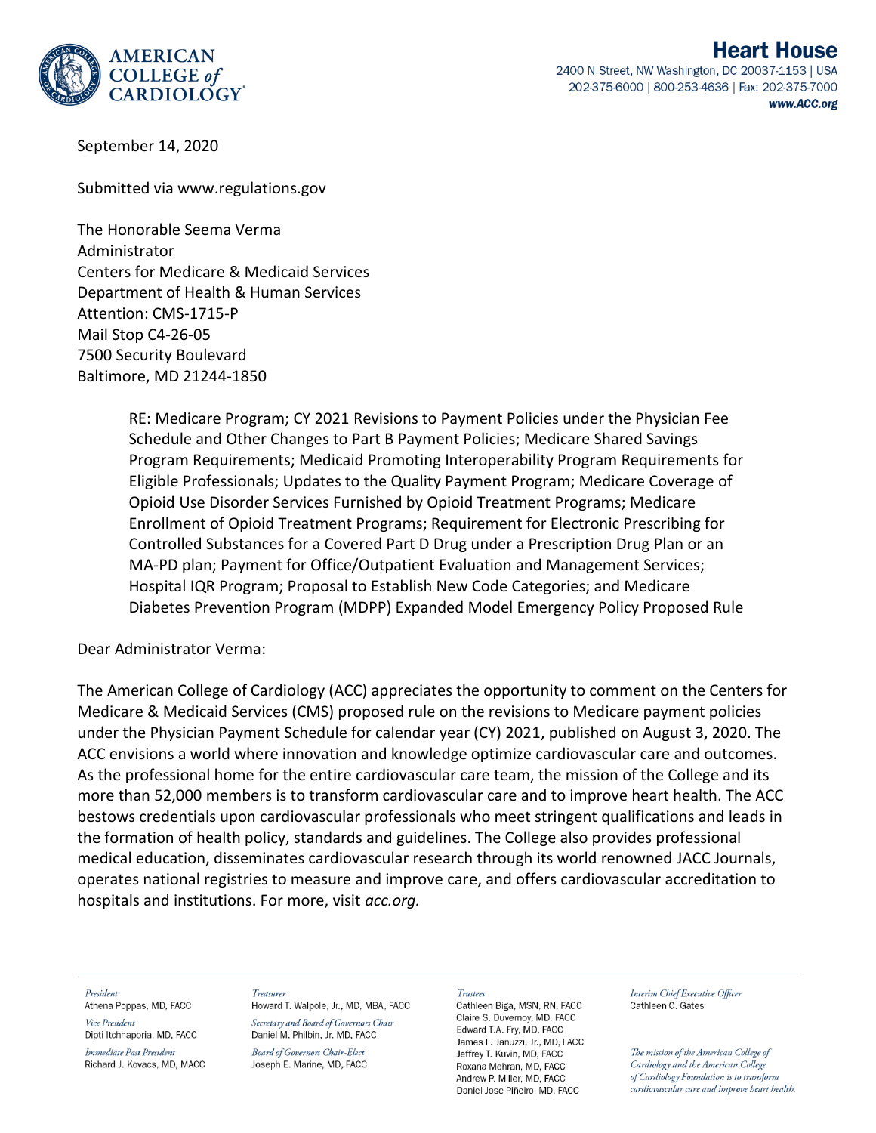

September 14, 2020

Submitted via www.regulations.gov

The Honorable Seema Verma Administrator Centers for Medicare & Medicaid Services Department of Health & Human Services Attention: CMS-1715-P Mail Stop C4-26-05 7500 Security Boulevard Baltimore, MD 21244-1850

> RE: Medicare Program; CY 2021 Revisions to Payment Policies under the Physician Fee Schedule and Other Changes to Part B Payment Policies; Medicare Shared Savings Program Requirements; Medicaid Promoting Interoperability Program Requirements for Eligible Professionals; Updates to the Quality Payment Program; Medicare Coverage of Opioid Use Disorder Services Furnished by Opioid Treatment Programs; Medicare Enrollment of Opioid Treatment Programs; Requirement for Electronic Prescribing for Controlled Substances for a Covered Part D Drug under a Prescription Drug Plan or an MA-PD plan; Payment for Office/Outpatient Evaluation and Management Services; Hospital IQR Program; Proposal to Establish New Code Categories; and Medicare Diabetes Prevention Program (MDPP) Expanded Model Emergency Policy Proposed Rule

Dear Administrator Verma:

The American College of Cardiology (ACC) appreciates the opportunity to comment on the Centers for Medicare & Medicaid Services (CMS) proposed rule on the revisions to Medicare payment policies under the Physician Payment Schedule for calendar year (CY) 2021, published on August 3, 2020. The ACC envisions a world where innovation and knowledge optimize cardiovascular care and outcomes. As the professional home for the entire cardiovascular care team, the mission of the College and its more than 52,000 members is to transform cardiovascular care and to improve heart health. The ACC bestows credentials upon cardiovascular professionals who meet stringent qualifications and leads in the formation of health policy, standards and guidelines. The College also provides professional medical education, disseminates cardiovascular research through its world renowned JACC Journals, operates national registries to measure and improve care, and offers cardiovascular accreditation to hospitals and institutions. For more, visit *acc.org.*

President

Athena Poppas, MD, FACC Vice President Dipti Itchhaporia, MD, FACC

Immediate Past President Richard J. Kovacs, MD, MACC Treasurer

Howard T. Walpole, Jr., MD, MBA, FACC Secretary and Board of Governors Chair Daniel M. Philbin, Jr. MD, FACC

**Board of Governors Chair-Elect** Joseph E. Marine, MD, FACC

#### Trustees

Cathleen Biga, MSN, RN, FACC Claire S. Duvernov, MD. FACC Edward T.A. Fry, MD, FACC James L. Januzzi, Jr., MD, FACC Jeffrey T. Kuvin, MD, FACC Roxana Mehran, MD, FACC Andrew P. Miller, MD. FACC Daniel Jose Piñeiro, MD, FACC

Interim Chief Executive Officer Cathleen C. Gates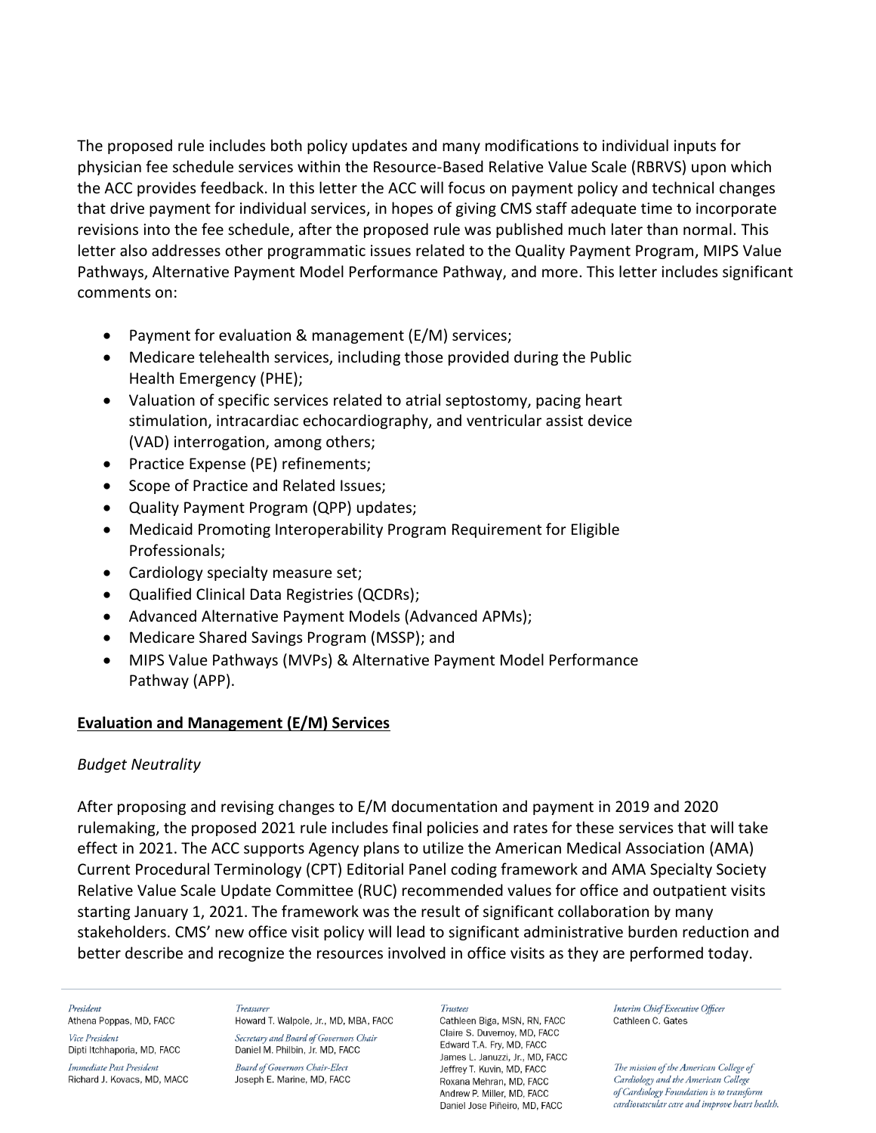The proposed rule includes both policy updates and many modifications to individual inputs for physician fee schedule services within the Resource-Based Relative Value Scale (RBRVS) upon which the ACC provides feedback. In this letter the ACC will focus on payment policy and technical changes that drive payment for individual services, in hopes of giving CMS staff adequate time to incorporate revisions into the fee schedule, after the proposed rule was published much later than normal. This letter also addresses other programmatic issues related to the Quality Payment Program, MIPS Value Pathways, Alternative Payment Model Performance Pathway, and more. This letter includes significant comments on:

- Payment for evaluation & management (E/M) services;
- Medicare telehealth services, including those provided during the Public Health Emergency (PHE);
- Valuation of specific services related to atrial septostomy, pacing heart stimulation, intracardiac echocardiography, and ventricular assist device (VAD) interrogation, among others;
- Practice Expense (PE) refinements;
- Scope of Practice and Related Issues;
- Quality Payment Program (QPP) updates;
- Medicaid Promoting Interoperability Program Requirement for Eligible Professionals;
- Cardiology specialty measure set;
- Qualified Clinical Data Registries (QCDRs);
- Advanced Alternative Payment Models (Advanced APMs);
- Medicare Shared Savings Program (MSSP); and
- MIPS Value Pathways (MVPs) & Alternative Payment Model Performance Pathway (APP).

## **Evaluation and Management (E/M) Services**

## *Budget Neutrality*

After proposing and revising changes to E/M documentation and payment in 2019 and 2020 rulemaking, the proposed 2021 rule includes final policies and rates for these services that will take effect in 2021. The ACC supports Agency plans to utilize the American Medical Association (AMA) Current Procedural Terminology (CPT) Editorial Panel coding framework and AMA Specialty Society Relative Value Scale Update Committee (RUC) recommended values for office and outpatient visits starting January 1, 2021. The framework was the result of significant collaboration by many stakeholders. CMS' new office visit policy will lead to significant administrative burden reduction and better describe and recognize the resources involved in office visits as they are performed today.

### President

Athena Poppas, MD, FACC Vice President

Dipti Itchhaporia, MD, FACC Immediate Past President

Richard J. Kovacs, MD, MACC

Treasurer Howard T. Walpole, Jr., MD, MBA, FACC Secretary and Board of Governors Chair Daniel M. Philbin, Jr. MD, FACC

**Board of Governors Chair-Elect** Joseph E. Marine, MD, FACC

#### **Trustees**

Cathleen Biga, MSN, RN, FACC Claire S. Duvernov. MD. FACC Edward T.A. Fry, MD, FACC James L. Januzzi, Jr., MD, FACC Jeffrey T. Kuvin, MD, FACC Roxana Mehran, MD, FACC Andrew P. Miller, MD. FACC Daniel Jose Piñeiro, MD, FACC

Interim Chief Executive Officer Cathleen C. Gates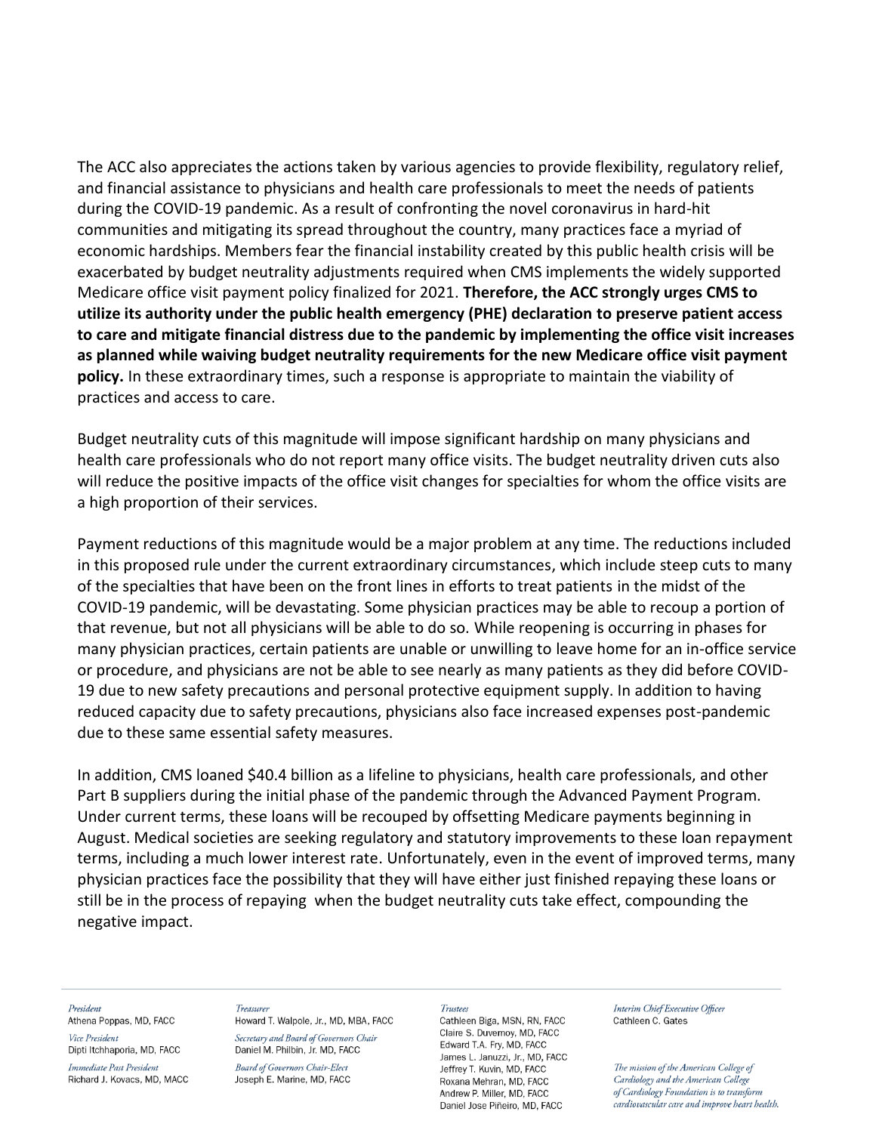The ACC also appreciates the actions taken by various agencies to provide flexibility, regulatory relief, and financial assistance to physicians and health care professionals to meet the needs of patients during the COVID-19 pandemic. As a result of confronting the novel coronavirus in hard-hit communities and mitigating its spread throughout the country, many practices face a myriad of economic hardships. Members fear the financial instability created by this public health crisis will be exacerbated by budget neutrality adjustments required when CMS implements the widely supported Medicare office visit payment policy finalized for 2021. **Therefore, the ACC strongly urges CMS to utilize its authority under the public health emergency (PHE) declaration to preserve patient access to care and mitigate financial distress due to the pandemic by implementing the office visit increases as planned while waiving budget neutrality requirements for the new Medicare office visit payment policy.** In these extraordinary times, such a response is appropriate to maintain the viability of practices and access to care.

Budget neutrality cuts of this magnitude will impose significant hardship on many physicians and health care professionals who do not report many office visits. The budget neutrality driven cuts also will reduce the positive impacts of the office visit changes for specialties for whom the office visits are a high proportion of their services.

Payment reductions of this magnitude would be a major problem at any time. The reductions included in this proposed rule under the current extraordinary circumstances, which include steep cuts to many of the specialties that have been on the front lines in efforts to treat patients in the midst of the COVID-19 pandemic, will be devastating. Some physician practices may be able to recoup a portion of that revenue, but not all physicians will be able to do so. While reopening is occurring in phases for many physician practices, certain patients are unable or unwilling to leave home for an in-office service or procedure, and physicians are not be able to see nearly as many patients as they did before COVID-19 due to new safety precautions and personal protective equipment supply. In addition to having reduced capacity due to safety precautions, physicians also face increased expenses post-pandemic due to these same essential safety measures.

In addition, CMS loaned \$40.4 billion as a lifeline to physicians, health care professionals, and other Part B suppliers during the initial phase of the pandemic through the Advanced Payment Program. Under current terms, these loans will be recouped by offsetting Medicare payments beginning in August. Medical societies are seeking regulatory and statutory improvements to these loan repayment terms, including a much lower interest rate. Unfortunately, even in the event of improved terms, many physician practices face the possibility that they will have either just finished repaying these loans or still be in the process of repaying when the budget neutrality cuts take effect, compounding the negative impact.

#### President

Athena Poppas, MD, FACC Vice President

Dipti Itchhaporia, MD, FACC

Immediate Past President Richard J. Kovacs, MD, MACC

### Treasurer

Howard T. Walpole, Jr., MD, MBA, FACC Secretary and Board of Governors Chair Daniel M. Philbin, Jr. MD, FACC

**Board of Governors Chair-Elect** Joseph E. Marine, MD, FACC

#### Trustees

Cathleen Biga, MSN, RN, FACC Claire S. Duvernoy, MD, FACC Edward T.A. Fry, MD, FACC James L. Januzzi, Jr., MD, FACC Jeffrey T. Kuvin, MD, FACC Roxana Mehran, MD, FACC Andrew P. Miller, MD. FACC Daniel Jose Piñeiro, MD, FACC

Interim Chief Executive Officer Cathleen C. Gates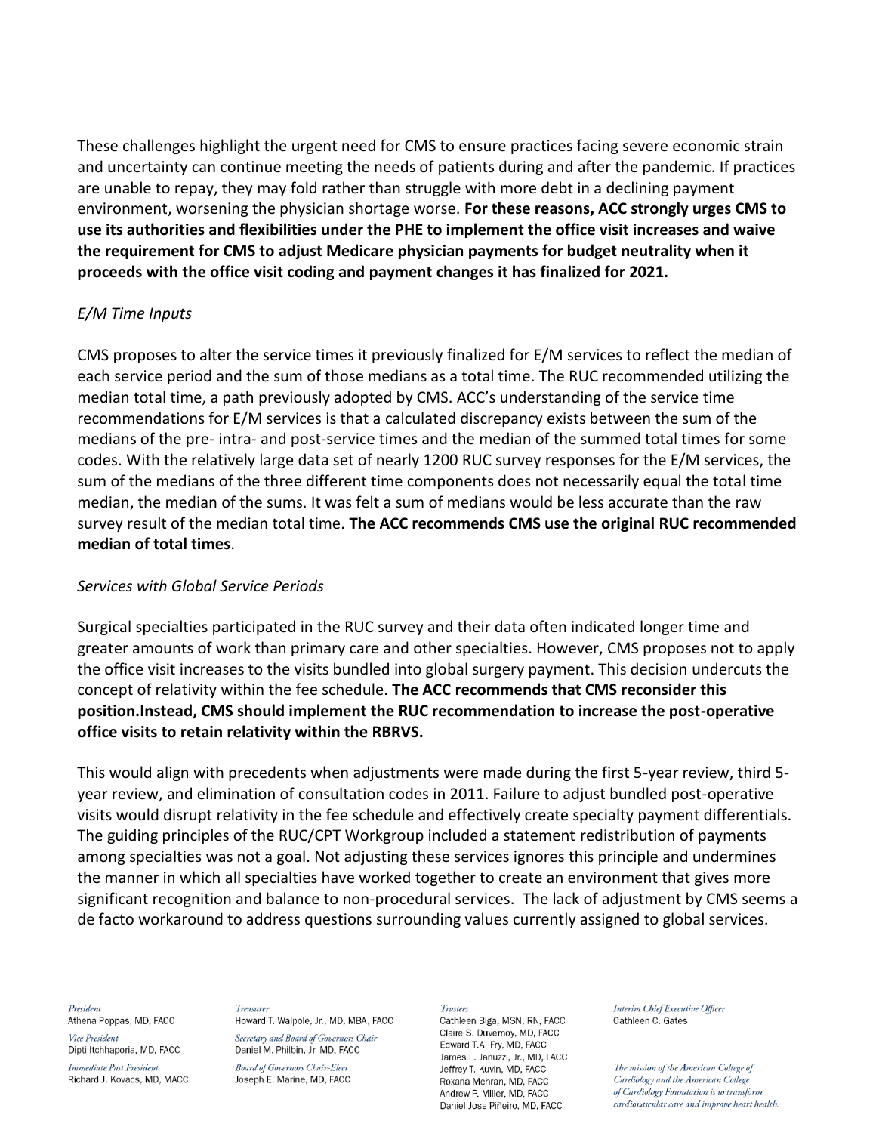These challenges highlight the urgent need for CMS to ensure practices facing severe economic strain and uncertainty can continue meeting the needs of patients during and after the pandemic. If practices are unable to repay, they may fold rather than struggle with more debt in a declining payment environment, worsening the physician shortage worse. **For these reasons, ACC strongly urges CMS to use its authorities and flexibilities under the PHE to implement the office visit increases and waive the requirement for CMS to adjust Medicare physician payments for budget neutrality when it proceeds with the office visit coding and payment changes it has finalized for 2021.**

## *E/M Time Inputs*

CMS proposes to alter the service times it previously finalized for E/M services to reflect the median of each service period and the sum of those medians as a total time. The RUC recommended utilizing the median total time, a path previously adopted by CMS. ACC's understanding of the service time recommendations for E/M services is that a calculated discrepancy exists between the sum of the medians of the pre- intra- and post-service times and the median of the summed total times for some codes. With the relatively large data set of nearly 1200 RUC survey responses for the E/M services, the sum of the medians of the three different time components does not necessarily equal the total time median, the median of the sums. It was felt a sum of medians would be less accurate than the raw survey result of the median total time. **The ACC recommends CMS use the original RUC recommended median of total times**.

## *Services with Global Service Periods*

Surgical specialties participated in the RUC survey and their data often indicated longer time and greater amounts of work than primary care and other specialties. However, CMS proposes not to apply the office visit increases to the visits bundled into global surgery payment. This decision undercuts the concept of relativity within the fee schedule. **The ACC recommends that CMS reconsider this position.Instead, CMS should implement the RUC recommendation to increase the post-operative office visits to retain relativity within the RBRVS.**

This would align with precedents when adjustments were made during the first 5-year review, third 5 year review, and elimination of consultation codes in 2011. Failure to adjust bundled post-operative visits would disrupt relativity in the fee schedule and effectively create specialty payment differentials. The guiding principles of the RUC/CPT Workgroup included a statement redistribution of payments among specialties was not a goal. Not adjusting these services ignores this principle and undermines the manner in which all specialties have worked together to create an environment that gives more significant recognition and balance to non-procedural services. The lack of adjustment by CMS seems a de facto workaround to address questions surrounding values currently assigned to global services.

### President

Athena Poppas, MD, FACC Vice President

Dipti Itchhaporia, MD, FACC Immediate Past President Richard J. Kovacs, MD, MACC

#### Treasurer

Howard T. Walpole, Jr., MD, MBA, FACC Secretary and Board of Governors Chair Daniel M. Philbin, Jr. MD, FACC

**Board of Governors Chair-Elect** Joseph E. Marine, MD, FACC

#### Trustees

Cathleen Biga, MSN, RN, FACC Claire S. Duvernov. MD. FACC Edward T.A. Fry, MD, FACC James L. Januzzi, Jr., MD, FACC Jeffrey T. Kuvin, MD, FACC Roxana Mehran, MD, FACC Andrew P. Miller, MD. FACC Daniel Jose Piñeiro, MD, FACC

Interim Chief Executive Officer Cathleen C. Gates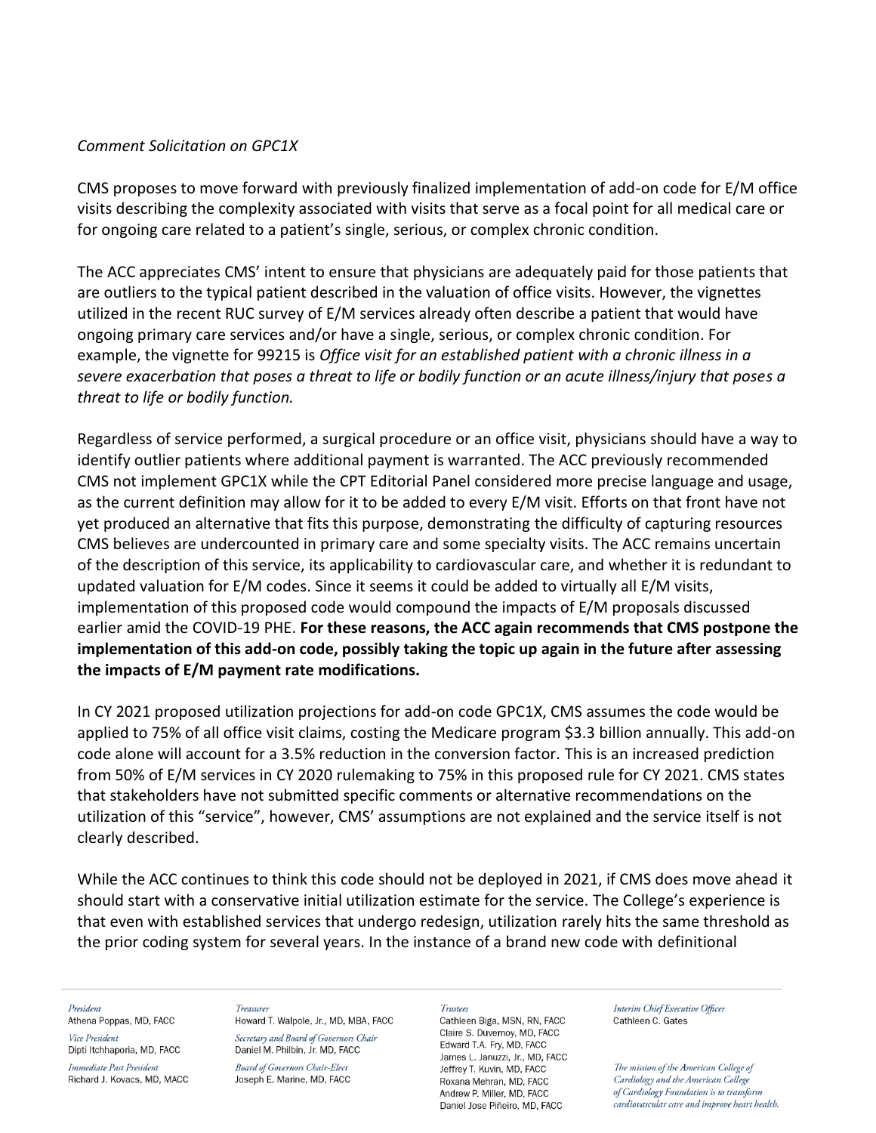## *Comment Solicitation on GPC1X*

CMS proposes to move forward with previously finalized implementation of add-on code for E/M office visits describing the complexity associated with visits that serve as a focal point for all medical care or for ongoing care related to a patient's single, serious, or complex chronic condition.

The ACC appreciates CMS' intent to ensure that physicians are adequately paid for those patients that are outliers to the typical patient described in the valuation of office visits. However, the vignettes utilized in the recent RUC survey of E/M services already often describe a patient that would have ongoing primary care services and/or have a single, serious, or complex chronic condition. For example, the vignette for 99215 is *Office visit for an established patient with a chronic illness in a severe exacerbation that poses a threat to life or bodily function or an acute illness/injury that poses a threat to life or bodily function.* 

Regardless of service performed, a surgical procedure or an office visit, physicians should have a way to identify outlier patients where additional payment is warranted. The ACC previously recommended CMS not implement GPC1X while the CPT Editorial Panel considered more precise language and usage, as the current definition may allow for it to be added to every E/M visit. Efforts on that front have not yet produced an alternative that fits this purpose, demonstrating the difficulty of capturing resources CMS believes are undercounted in primary care and some specialty visits. The ACC remains uncertain of the description of this service, its applicability to cardiovascular care, and whether it is redundant to updated valuation for E/M codes. Since it seems it could be added to virtually all E/M visits, implementation of this proposed code would compound the impacts of E/M proposals discussed earlier amid the COVID-19 PHE. **For these reasons, the ACC again recommends that CMS postpone the implementation of this add-on code, possibly taking the topic up again in the future after assessing the impacts of E/M payment rate modifications.**

In CY 2021 proposed utilization projections for add-on code GPC1X, CMS assumes the code would be applied to 75% of all office visit claims, costing the Medicare program \$3.3 billion annually. This add-on code alone will account for a 3.5% reduction in the conversion factor. This is an increased prediction from 50% of E/M services in CY 2020 rulemaking to 75% in this proposed rule for CY 2021. CMS states that stakeholders have not submitted specific comments or alternative recommendations on the utilization of this "service", however, CMS' assumptions are not explained and the service itself is not clearly described.

While the ACC continues to think this code should not be deployed in 2021, if CMS does move ahead it should start with a conservative initial utilization estimate for the service. The College's experience is that even with established services that undergo redesign, utilization rarely hits the same threshold as the prior coding system for several years. In the instance of a brand new code with definitional

President

Athena Poppas, MD, FACC Vice President

Dipti Itchhaporia, MD, FACC Immediate Past President

Richard J. Kovacs, MD, MACC

Treasurer Howard T. Walpole, Jr., MD, MBA, FACC Secretary and Board of Governors Chair Daniel M. Philbin, Jr. MD, FACC

**Board of Governors Chair-Elect** Joseph E. Marine, MD, FACC

#### **Trustees**

Cathleen Biga, MSN, RN, FACC Claire S. Duvernov. MD. FACC Edward T.A. Fry, MD, FACC James L. Januzzi, Jr., MD, FACC Jeffrey T. Kuvin, MD, FACC Roxana Mehran, MD, FACC Andrew P. Miller, MD. FACC Daniel Jose Piñeiro, MD, FACC

Interim Chief Executive Officer Cathleen C. Gates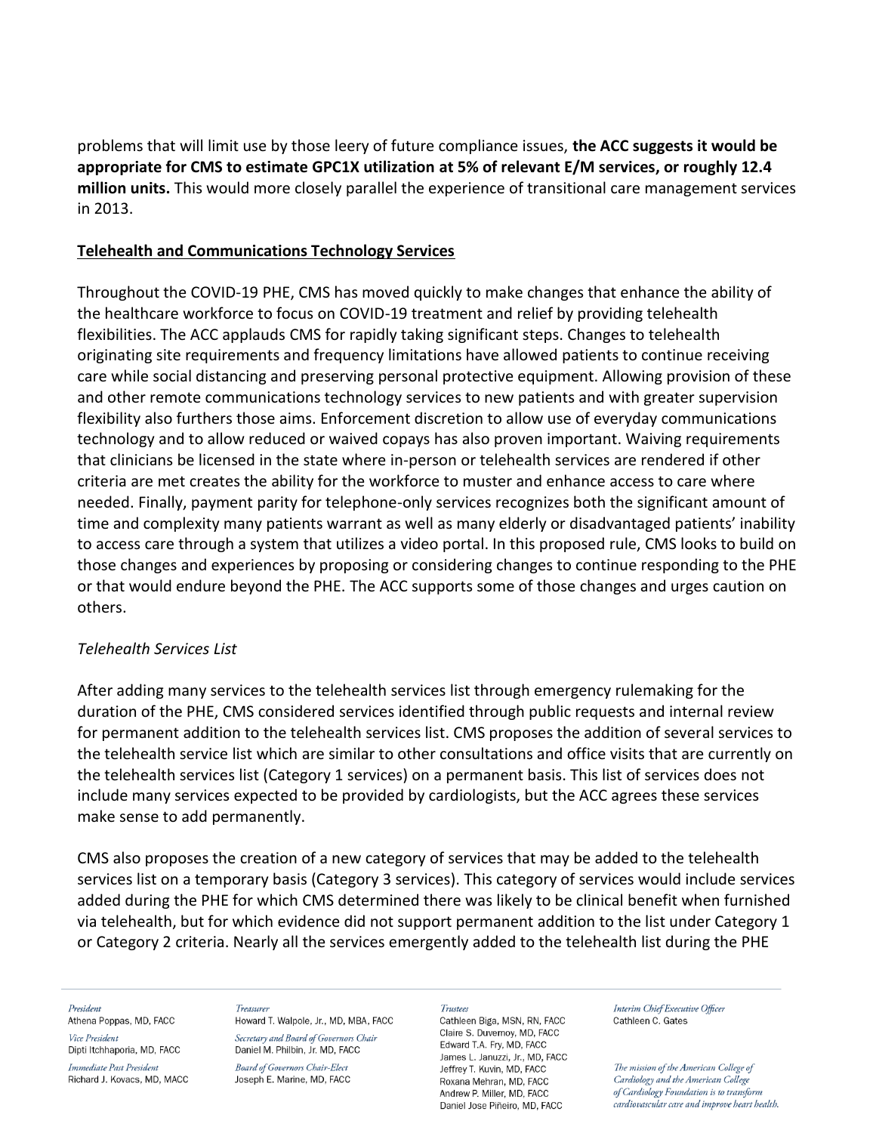problems that will limit use by those leery of future compliance issues, **the ACC suggests it would be appropriate for CMS to estimate GPC1X utilization at 5% of relevant E/M services, or roughly 12.4 million units.** This would more closely parallel the experience of transitional care management services in 2013.

## **Telehealth and Communications Technology Services**

Throughout the COVID-19 PHE, CMS has moved quickly to make changes that enhance the ability of the healthcare workforce to focus on COVID-19 treatment and relief by providing telehealth flexibilities. The ACC applauds CMS for rapidly taking significant steps. Changes to telehealth originating site requirements and frequency limitations have allowed patients to continue receiving care while social distancing and preserving personal protective equipment. Allowing provision of these and other remote communications technology services to new patients and with greater supervision flexibility also furthers those aims. Enforcement discretion to allow use of everyday communications technology and to allow reduced or waived copays has also proven important. Waiving requirements that clinicians be licensed in the state where in-person or telehealth services are rendered if other criteria are met creates the ability for the workforce to muster and enhance access to care where needed. Finally, payment parity for telephone-only services recognizes both the significant amount of time and complexity many patients warrant as well as many elderly or disadvantaged patients' inability to access care through a system that utilizes a video portal. In this proposed rule, CMS looks to build on those changes and experiences by proposing or considering changes to continue responding to the PHE or that would endure beyond the PHE. The ACC supports some of those changes and urges caution on others.

## *Telehealth Services List*

After adding many services to the telehealth services list through emergency rulemaking for the duration of the PHE, CMS considered services identified through public requests and internal review for permanent addition to the telehealth services list. CMS proposes the addition of several services to the telehealth service list which are similar to other consultations and office visits that are currently on the telehealth services list (Category 1 services) on a permanent basis. This list of services does not include many services expected to be provided by cardiologists, but the ACC agrees these services make sense to add permanently.

CMS also proposes the creation of a new category of services that may be added to the telehealth services list on a temporary basis (Category 3 services). This category of services would include services added during the PHE for which CMS determined there was likely to be clinical benefit when furnished via telehealth, but for which evidence did not support permanent addition to the list under Category 1 or Category 2 criteria. Nearly all the services emergently added to the telehealth list during the PHE

#### President

Athena Poppas, MD, FACC Vice President

Dipti Itchhaporia, MD, FACC Immediate Past President

Richard J. Kovacs, MD, MACC

Treasurer Howard T. Walpole, Jr., MD, MBA, FACC Secretary and Board of Governors Chair Daniel M. Philbin, Jr. MD, FACC

**Board of Governors Chair-Elect** Joseph E. Marine, MD, FACC

#### **Trustees**

Cathleen Biga, MSN, RN, FACC Claire S. Duvernov. MD. FACC Edward T.A. Fry, MD, FACC James L. Januzzi, Jr., MD, FACC Jeffrey T. Kuvin, MD, FACC Roxana Mehran, MD, FACC Andrew P. Miller, MD. FACC Daniel Jose Piñeiro, MD, FACC

Interim Chief Executive Officer Cathleen C. Gates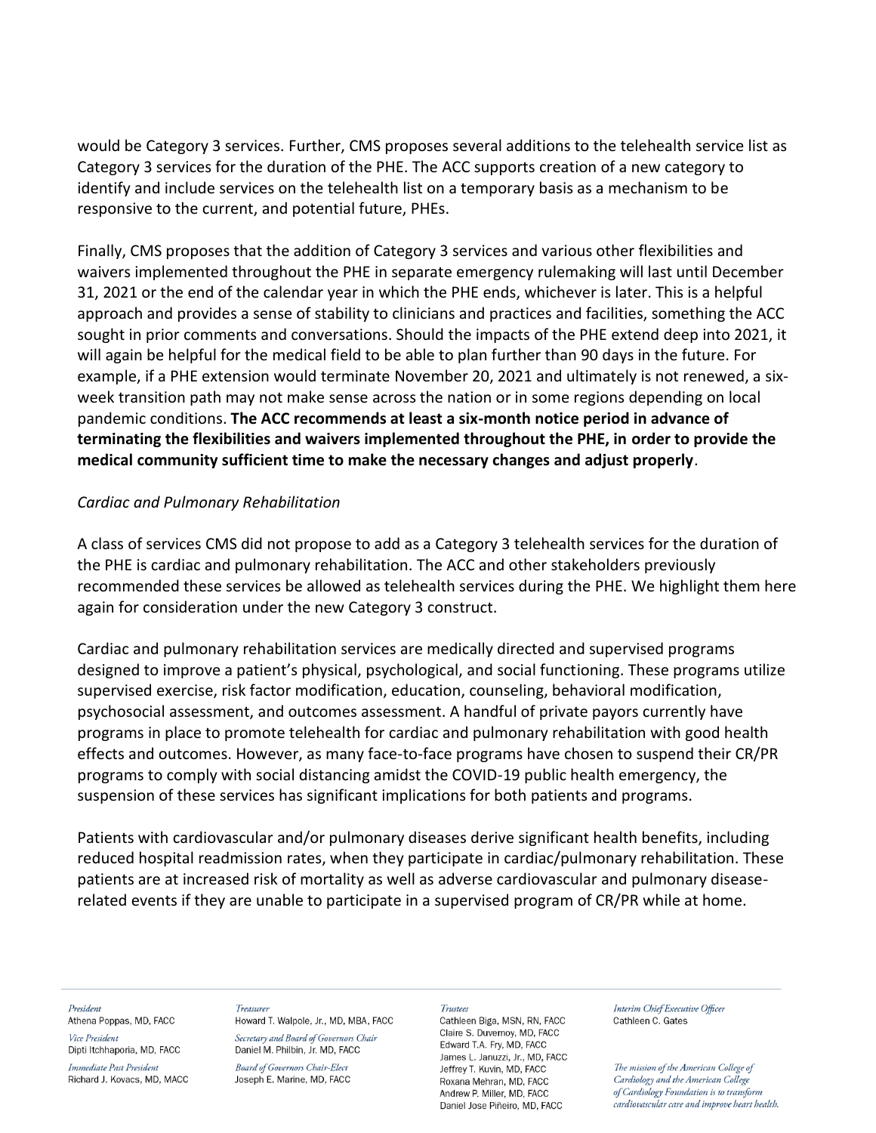would be Category 3 services. Further, CMS proposes several additions to the telehealth service list as Category 3 services for the duration of the PHE. The ACC supports creation of a new category to identify and include services on the telehealth list on a temporary basis as a mechanism to be responsive to the current, and potential future, PHEs.

Finally, CMS proposes that the addition of Category 3 services and various other flexibilities and waivers implemented throughout the PHE in separate emergency rulemaking will last until December 31, 2021 or the end of the calendar year in which the PHE ends, whichever is later. This is a helpful approach and provides a sense of stability to clinicians and practices and facilities, something the ACC sought in prior comments and conversations. Should the impacts of the PHE extend deep into 2021, it will again be helpful for the medical field to be able to plan further than 90 days in the future. For example, if a PHE extension would terminate November 20, 2021 and ultimately is not renewed, a sixweek transition path may not make sense across the nation or in some regions depending on local pandemic conditions. **The ACC recommends at least a six-month notice period in advance of terminating the flexibilities and waivers implemented throughout the PHE, in order to provide the medical community sufficient time to make the necessary changes and adjust properly**.

### *Cardiac and Pulmonary Rehabilitation*

A class of services CMS did not propose to add as a Category 3 telehealth services for the duration of the PHE is cardiac and pulmonary rehabilitation. The ACC and other stakeholders previously recommended these services be allowed as telehealth services during the PHE. We highlight them here again for consideration under the new Category 3 construct.

Cardiac and pulmonary rehabilitation services are medically directed and supervised programs designed to improve a patient's physical, psychological, and social functioning. These programs utilize supervised exercise, risk factor modification, education, counseling, behavioral modification, psychosocial assessment, and outcomes assessment. A handful of private payors currently have programs in place to promote telehealth for cardiac and pulmonary rehabilitation with good health effects and outcomes. However, as many face-to-face programs have chosen to suspend their CR/PR programs to comply with social distancing amidst the COVID-19 public health emergency, the suspension of these services has significant implications for both patients and programs.

Patients with cardiovascular and/or pulmonary diseases derive significant health benefits, including reduced hospital readmission rates, when they participate in cardiac/pulmonary rehabilitation. These patients are at increased risk of mortality as well as adverse cardiovascular and pulmonary diseaserelated events if they are unable to participate in a supervised program of CR/PR while at home.

#### President Athena Poppas, MD, FACC

Vice President Dipti Itchhaporia, MD, FACC

Immediate Past President Richard J. Kovacs, MD, MACC

### Treasurer

Howard T. Walpole, Jr., MD, MBA, FACC Secretary and Board of Governors Chair Daniel M. Philbin, Jr. MD, FACC

**Board of Governors Chair-Elect** Joseph E. Marine, MD, FACC

#### Trustees

Cathleen Biga, MSN, RN, FACC Claire S. Duvernov. MD. FACC Edward T.A. Fry, MD, FACC James L. Januzzi, Jr., MD, FACC Jeffrey T. Kuvin, MD, FACC Roxana Mehran, MD, FACC Andrew P. Miller, MD. FACC Daniel Jose Piñeiro, MD, FACC

Interim Chief Executive Officer Cathleen C. Gates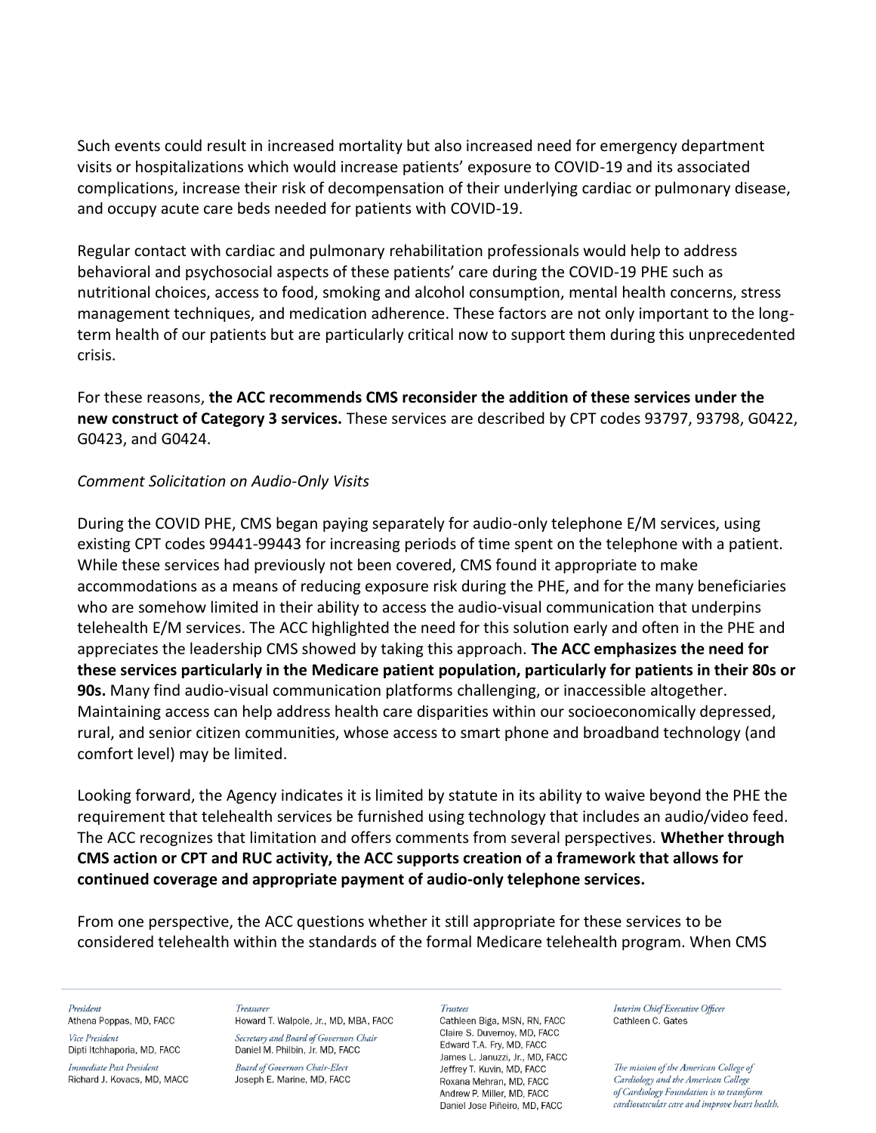Such events could result in increased mortality but also increased need for emergency department visits or hospitalizations which would increase patients' exposure to COVID-19 and its associated complications, increase their risk of decompensation of their underlying cardiac or pulmonary disease, and occupy acute care beds needed for patients with COVID-19.

Regular contact with cardiac and pulmonary rehabilitation professionals would help to address behavioral and psychosocial aspects of these patients' care during the COVID-19 PHE such as nutritional choices, access to food, smoking and alcohol consumption, mental health concerns, stress management techniques, and medication adherence. These factors are not only important to the longterm health of our patients but are particularly critical now to support them during this unprecedented crisis.

For these reasons, **the ACC recommends CMS reconsider the addition of these services under the new construct of Category 3 services.** These services are described by CPT codes 93797, 93798, G0422, G0423, and G0424.

## *Comment Solicitation on Audio-Only Visits*

During the COVID PHE, CMS began paying separately for audio-only telephone E/M services, using existing CPT codes 99441-99443 for increasing periods of time spent on the telephone with a patient. While these services had previously not been covered, CMS found it appropriate to make accommodations as a means of reducing exposure risk during the PHE, and for the many beneficiaries who are somehow limited in their ability to access the audio-visual communication that underpins telehealth E/M services. The ACC highlighted the need for this solution early and often in the PHE and appreciates the leadership CMS showed by taking this approach. **The ACC emphasizes the need for these services particularly in the Medicare patient population, particularly for patients in their 80s or 90s.** Many find audio-visual communication platforms challenging, or inaccessible altogether. Maintaining access can help address health care disparities within our socioeconomically depressed, rural, and senior citizen communities, whose access to smart phone and broadband technology (and comfort level) may be limited.

Looking forward, the Agency indicates it is limited by statute in its ability to waive beyond the PHE the requirement that telehealth services be furnished using technology that includes an audio/video feed. The ACC recognizes that limitation and offers comments from several perspectives. **Whether through CMS action or CPT and RUC activity, the ACC supports creation of a framework that allows for continued coverage and appropriate payment of audio-only telephone services.** 

From one perspective, the ACC questions whether it still appropriate for these services to be considered telehealth within the standards of the formal Medicare telehealth program. When CMS

President

Athena Poppas, MD, FACC Vice President

Dipti Itchhaporia, MD, FACC

Immediate Past President Richard J. Kovacs, MD, MACC

### Treasurer

Howard T. Walpole, Jr., MD, MBA, FACC Secretary and Board of Governors Chair Daniel M. Philbin, Jr. MD, FACC

**Board of Governors Chair-Elect** Joseph E. Marine, MD, FACC

#### **Trustees**

Cathleen Biga, MSN, RN, FACC Claire S. Duvernov. MD. FACC Edward T.A. Fry, MD, FACC James L. Januzzi, Jr., MD, FACC Jeffrey T. Kuvin, MD, FACC Roxana Mehran, MD, FACC Andrew P. Miller, MD. FACC Daniel Jose Piñeiro, MD, FACC

Interim Chief Executive Officer Cathleen C. Gates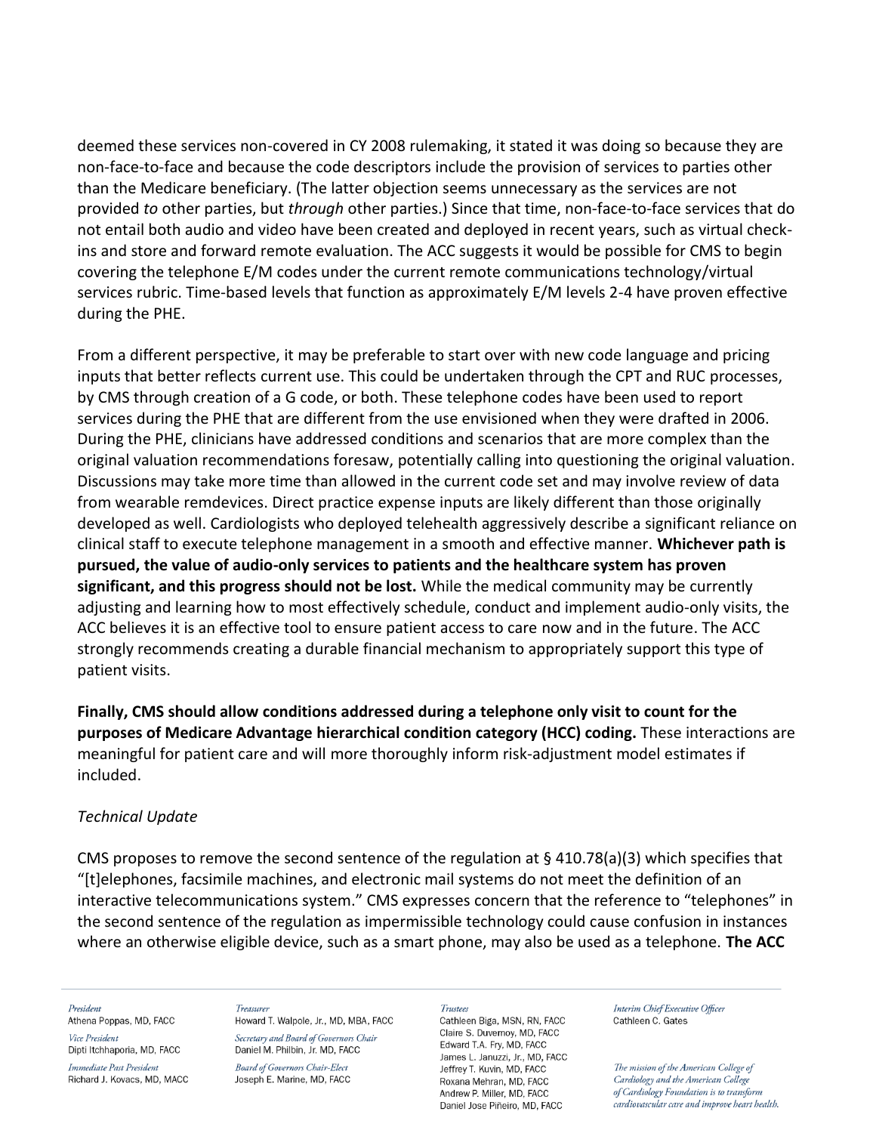deemed these services non-covered in CY 2008 rulemaking, it stated it was doing so because they are non-face-to-face and because the code descriptors include the provision of services to parties other than the Medicare beneficiary. (The latter objection seems unnecessary as the services are not provided *to* other parties, but *through* other parties.) Since that time, non-face-to-face services that do not entail both audio and video have been created and deployed in recent years, such as virtual checkins and store and forward remote evaluation. The ACC suggests it would be possible for CMS to begin covering the telephone E/M codes under the current remote communications technology/virtual services rubric. Time-based levels that function as approximately E/M levels 2-4 have proven effective during the PHE.

From a different perspective, it may be preferable to start over with new code language and pricing inputs that better reflects current use. This could be undertaken through the CPT and RUC processes, by CMS through creation of a G code, or both. These telephone codes have been used to report services during the PHE that are different from the use envisioned when they were drafted in 2006. During the PHE, clinicians have addressed conditions and scenarios that are more complex than the original valuation recommendations foresaw, potentially calling into questioning the original valuation. Discussions may take more time than allowed in the current code set and may involve review of data from wearable remdevices. Direct practice expense inputs are likely different than those originally developed as well. Cardiologists who deployed telehealth aggressively describe a significant reliance on clinical staff to execute telephone management in a smooth and effective manner. **Whichever path is pursued, the value of audio-only services to patients and the healthcare system has proven significant, and this progress should not be lost.** While the medical community may be currently adjusting and learning how to most effectively schedule, conduct and implement audio-only visits, the ACC believes it is an effective tool to ensure patient access to care now and in the future. The ACC strongly recommends creating a durable financial mechanism to appropriately support this type of patient visits.

**Finally, CMS should allow conditions addressed during a telephone only visit to count for the purposes of Medicare Advantage hierarchical condition category (HCC) coding.** These interactions are meaningful for patient care and will more thoroughly inform risk-adjustment model estimates if included.

## *Technical Update*

CMS proposes to remove the second sentence of the regulation at  $\S$  410.78(a)(3) which specifies that "[t]elephones, facsimile machines, and electronic mail systems do not meet the definition of an interactive telecommunications system." CMS expresses concern that the reference to "telephones" in the second sentence of the regulation as impermissible technology could cause confusion in instances where an otherwise eligible device, such as a smart phone, may also be used as a telephone. **The ACC** 

#### President

Athena Poppas, MD, FACC Vice President

Dipti Itchhaporia, MD, FACC

Immediate Past President Richard J. Kovacs, MD, MACC

Treasurer Howard T. Walpole, Jr., MD, MBA, FACC Secretary and Board of Governors Chair Daniel M. Philbin, Jr. MD, FACC

**Board of Governors Chair-Elect** Joseph E. Marine, MD, FACC

#### **Trustees**

Cathleen Biga, MSN, RN, FACC Claire S. Duvernov. MD. FACC Edward T.A. Fry, MD, FACC James L. Januzzi, Jr., MD, FACC Jeffrey T. Kuvin, MD, FACC Roxana Mehran, MD, FACC Andrew P. Miller, MD. FACC Daniel Jose Piñeiro, MD, FACC

Interim Chief Executive Officer Cathleen C. Gates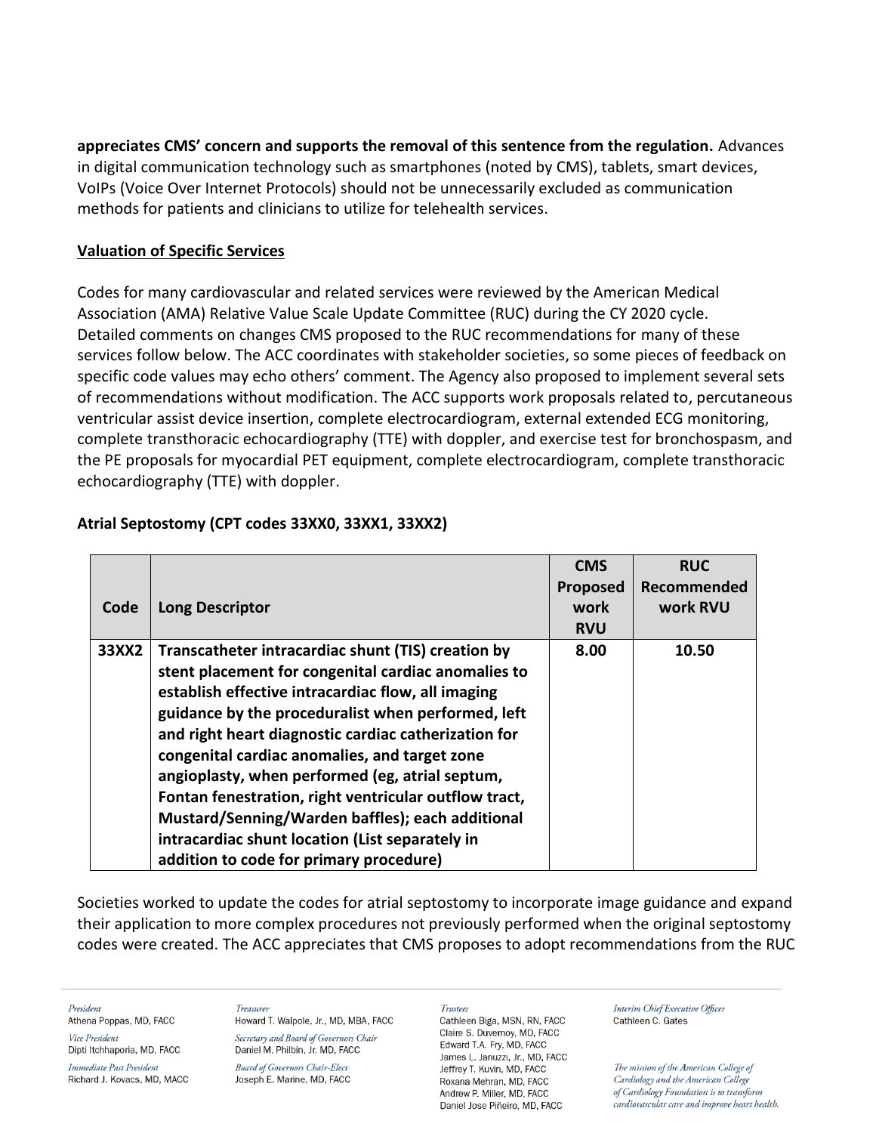**appreciates CMS' concern and supports the removal of this sentence from the regulation.** Advances in digital communication technology such as smartphones (noted by CMS), tablets, smart devices, VoIPs (Voice Over Internet Protocols) should not be unnecessarily excluded as communication methods for patients and clinicians to utilize for telehealth services.

## **Valuation of Specific Services**

Codes for many cardiovascular and related services were reviewed by the American Medical Association (AMA) Relative Value Scale Update Committee (RUC) during the CY 2020 cycle. Detailed comments on changes CMS proposed to the RUC recommendations for many of these services follow below. The ACC coordinates with stakeholder societies, so some pieces of feedback on specific code values may echo others' comment. The Agency also proposed to implement several sets of recommendations without modification. The ACC supports work proposals related to, percutaneous ventricular assist device insertion, complete electrocardiogram, external extended ECG monitoring, complete transthoracic echocardiography (TTE) with doppler, and exercise test for bronchospasm, and the PE proposals for myocardial PET equipment, complete electrocardiogram, complete transthoracic echocardiography (TTE) with doppler.

| Code  | <b>Long Descriptor</b>                                                                                                                                                                                                                                                                                                                                                                                                                                                                                                                                                                       | <b>CMS</b><br>Proposed<br>work<br><b>RVU</b> | <b>RUC</b><br>Recommended<br>work RVU |
|-------|----------------------------------------------------------------------------------------------------------------------------------------------------------------------------------------------------------------------------------------------------------------------------------------------------------------------------------------------------------------------------------------------------------------------------------------------------------------------------------------------------------------------------------------------------------------------------------------------|----------------------------------------------|---------------------------------------|
| 33XX2 | Transcatheter intracardiac shunt (TIS) creation by<br>stent placement for congenital cardiac anomalies to<br>establish effective intracardiac flow, all imaging<br>guidance by the proceduralist when performed, left<br>and right heart diagnostic cardiac catherization for<br>congenital cardiac anomalies, and target zone<br>angioplasty, when performed (eg, atrial septum,<br>Fontan fenestration, right ventricular outflow tract,<br>Mustard/Senning/Warden baffles); each additional<br>intracardiac shunt location (List separately in<br>addition to code for primary procedure) | 8.00                                         | 10.50                                 |

## **Atrial Septostomy (CPT codes 33XX0, 33XX1, 33XX2)**

Societies worked to update the codes for atrial septostomy to incorporate image guidance and expand their application to more complex procedures not previously performed when the original septostomy codes were created. The ACC appreciates that CMS proposes to adopt recommendations from the RUC

President

Athena Poppas, MD, FACC

Vice President Dipti Itchhaporia, MD, FACC

Immediate Past President Richard J. Kovacs, MD, MACC

**Treasure** Howard T. Walpole, Jr., MD, MBA, FACC Secretary and Board of Governors Chair Daniel M. Philbin, Jr. MD, FACC

**Board of Governors Chair-Elect** Joseph E. Marine, MD, FACC

### **Trustees**

Cathleen Biga, MSN, RN, FACC Claire S. Duvernov, MD. FACC Edward T.A. Fry, MD, FACC James L. Januzzi, Jr., MD, FACC Jeffrey T. Kuvin, MD, FACC Roxana Mehran, MD, FACC Andrew P. Miller, MD. FACC Daniel Jose Piñeiro, MD, FACC

Interim Chief Executive Officer Cathleen C. Gates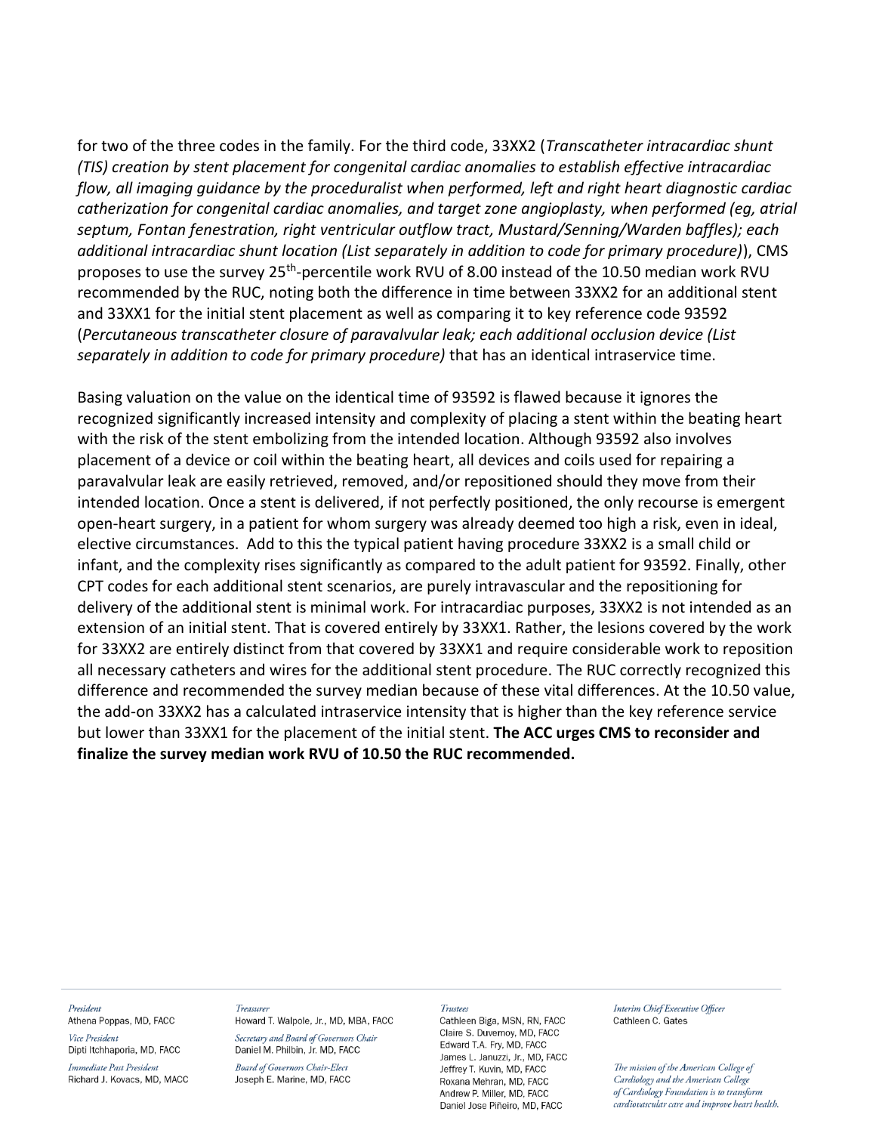for two of the three codes in the family. For the third code, 33XX2 (*Transcatheter intracardiac shunt (TIS) creation by stent placement for congenital cardiac anomalies to establish effective intracardiac flow, all imaging guidance by the proceduralist when performed, left and right heart diagnostic cardiac catherization for congenital cardiac anomalies, and target zone angioplasty, when performed (eg, atrial septum, Fontan fenestration, right ventricular outflow tract, Mustard/Senning/Warden baffles); each additional intracardiac shunt location (List separately in addition to code for primary procedure)*), CMS proposes to use the survey 25<sup>th</sup>-percentile work RVU of 8.00 instead of the 10.50 median work RVU recommended by the RUC, noting both the difference in time between 33XX2 for an additional stent and 33XX1 for the initial stent placement as well as comparing it to key reference code 93592 (*Percutaneous transcatheter closure of paravalvular leak; each additional occlusion device (List separately in addition to code for primary procedure)* that has an identical intraservice time.

Basing valuation on the value on the identical time of 93592 is flawed because it ignores the recognized significantly increased intensity and complexity of placing a stent within the beating heart with the risk of the stent embolizing from the intended location. Although 93592 also involves placement of a device or coil within the beating heart, all devices and coils used for repairing a paravalvular leak are easily retrieved, removed, and/or repositioned should they move from their intended location. Once a stent is delivered, if not perfectly positioned, the only recourse is emergent open-heart surgery, in a patient for whom surgery was already deemed too high a risk, even in ideal, elective circumstances. Add to this the typical patient having procedure 33XX2 is a small child or infant, and the complexity rises significantly as compared to the adult patient for 93592. Finally, other CPT codes for each additional stent scenarios, are purely intravascular and the repositioning for delivery of the additional stent is minimal work. For intracardiac purposes, 33XX2 is not intended as an extension of an initial stent. That is covered entirely by 33XX1. Rather, the lesions covered by the work for 33XX2 are entirely distinct from that covered by 33XX1 and require considerable work to reposition all necessary catheters and wires for the additional stent procedure. The RUC correctly recognized this difference and recommended the survey median because of these vital differences. At the 10.50 value, the add-on 33XX2 has a calculated intraservice intensity that is higher than the key reference service but lower than 33XX1 for the placement of the initial stent. **The ACC urges CMS to reconsider and finalize the survey median work RVU of 10.50 the RUC recommended.**

#### President Athena Poppas, MD, FACC

Vice President Dipti Itchhaporia, MD, FACC

Immediate Past President Richard J. Kovacs, MD, MACC

#### **Treasure** Howard T. Walpole, Jr., MD, MBA, FACC

Secretary and Board of Governors Chair Daniel M. Philbin, Jr. MD, FACC

**Board of Governors Chair-Elect** Joseph E. Marine, MD, FACC

#### Trustees

Cathleen Biga, MSN, RN, FACC Claire S. Duvernov. MD. FACC Edward T.A. Fry, MD, FACC James L. Januzzi, Jr., MD, FACC Jeffrey T. Kuvin, MD, FACC Roxana Mehran, MD, FACC Andrew P. Miller, MD. FACC Daniel Jose Piñeiro, MD, FACC

Interim Chief Executive Officer Cathleen C. Gates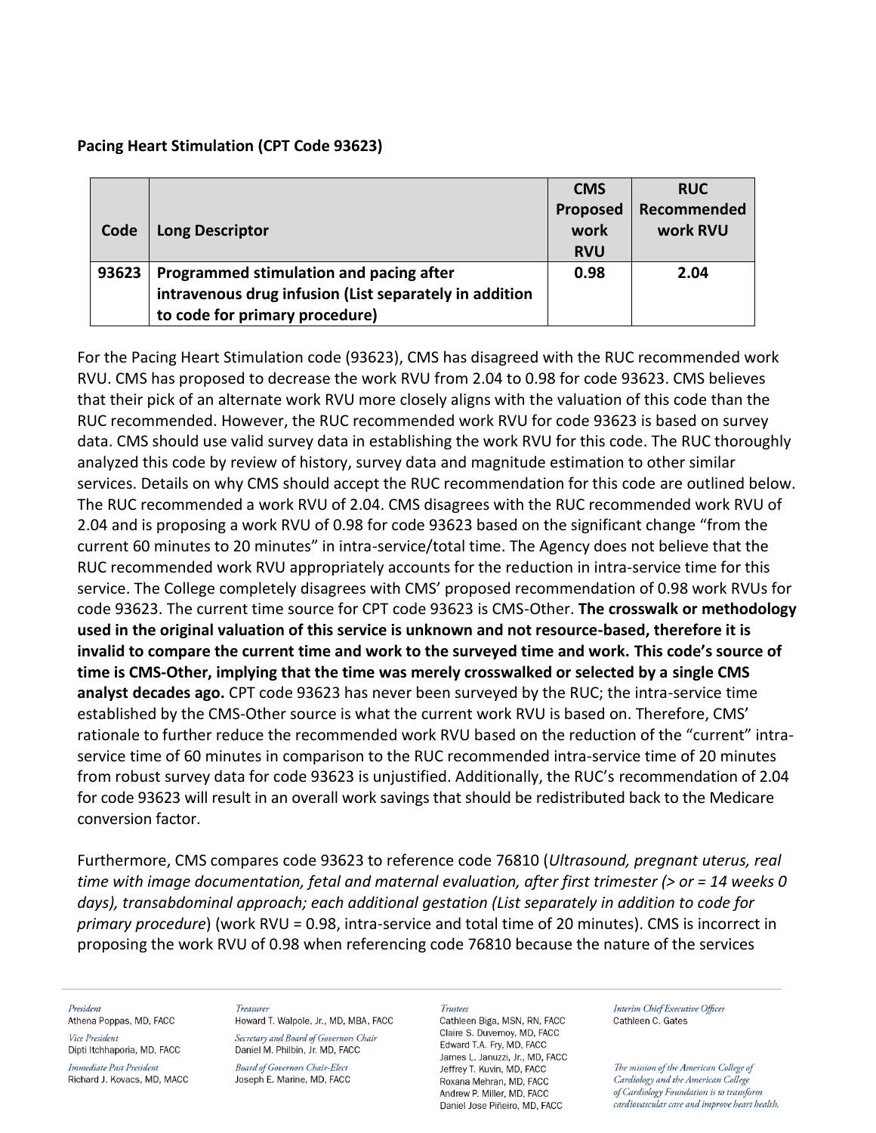## **Pacing Heart Stimulation (CPT Code 93623)**

|       |                                                        | <b>CMS</b>                     | <b>RUC</b>              |
|-------|--------------------------------------------------------|--------------------------------|-------------------------|
| Code  | <b>Long Descriptor</b>                                 | Proposed<br>work<br><b>RVU</b> | Recommended<br>work RVU |
|       |                                                        |                                |                         |
| 93623 | Programmed stimulation and pacing after                | 0.98                           | 2.04                    |
|       | intravenous drug infusion (List separately in addition |                                |                         |
|       | to code for primary procedure)                         |                                |                         |

For the Pacing Heart Stimulation code (93623), CMS has disagreed with the RUC recommended work RVU. CMS has proposed to decrease the work RVU from 2.04 to 0.98 for code 93623. CMS believes that their pick of an alternate work RVU more closely aligns with the valuation of this code than the RUC recommended. However, the RUC recommended work RVU for code 93623 is based on survey data. CMS should use valid survey data in establishing the work RVU for this code. The RUC thoroughly analyzed this code by review of history, survey data and magnitude estimation to other similar services. Details on why CMS should accept the RUC recommendation for this code are outlined below. The RUC recommended a work RVU of 2.04. CMS disagrees with the RUC recommended work RVU of 2.04 and is proposing a work RVU of 0.98 for code 93623 based on the significant change "from the current 60 minutes to 20 minutes" in intra-service/total time. The Agency does not believe that the RUC recommended work RVU appropriately accounts for the reduction in intra-service time for this service. The College completely disagrees with CMS' proposed recommendation of 0.98 work RVUs for code 93623. The current time source for CPT code 93623 is CMS-Other. **The crosswalk or methodology used in the original valuation of this service is unknown and not resource-based, therefore it is invalid to compare the current time and work to the surveyed time and work. This code's source of time is CMS-Other, implying that the time was merely crosswalked or selected by a single CMS analyst decades ago.** CPT code 93623 has never been surveyed by the RUC; the intra-service time established by the CMS-Other source is what the current work RVU is based on. Therefore, CMS' rationale to further reduce the recommended work RVU based on the reduction of the "current" intraservice time of 60 minutes in comparison to the RUC recommended intra-service time of 20 minutes from robust survey data for code 93623 is unjustified. Additionally, the RUC's recommendation of 2.04 for code 93623 will result in an overall work savings that should be redistributed back to the Medicare conversion factor.

Furthermore, CMS compares code 93623 to reference code 76810 (*Ultrasound, pregnant uterus, real time with image documentation, fetal and maternal evaluation, after first trimester (> or = 14 weeks 0 days), transabdominal approach; each additional gestation (List separately in addition to code for primary procedure*) (work RVU = 0.98, intra-service and total time of 20 minutes). CMS is incorrect in proposing the work RVU of 0.98 when referencing code 76810 because the nature of the services

### President

Athena Poppas, MD, FACC Vice President

Dipti Itchhaporia, MD, FACC Immediate Past President

## Richard J. Kovacs, MD, MACC

**Treasure** Howard T. Walpole, Jr., MD, MBA, FACC Secretary and Board of Governors Chair Daniel M. Philbin, Jr. MD, FACC

**Board of Governors Chair-Elect** Joseph E. Marine, MD, FACC

#### **Trustees**

Cathleen Biga, MSN, RN, FACC Claire S. Duvernov. MD. FACC Edward T.A. Fry, MD, FACC James L. Januzzi, Jr., MD, FACC Jeffrey T. Kuvin, MD, FACC Roxana Mehran, MD, FACC Andrew P. Miller, MD. FACC Daniel Jose Piñeiro, MD, FACC

Interim Chief Executive Officer Cathleen C. Gates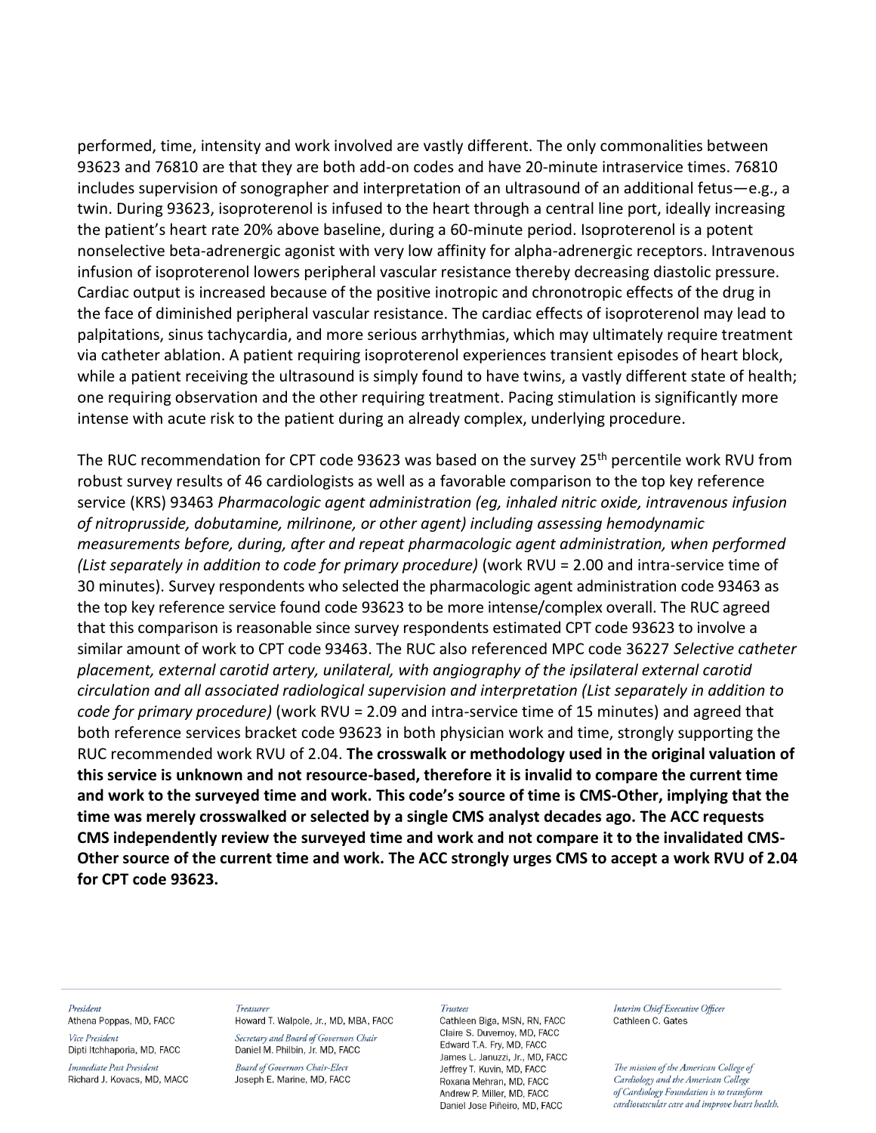performed, time, intensity and work involved are vastly different. The only commonalities between 93623 and 76810 are that they are both add-on codes and have 20-minute intraservice times. 76810 includes supervision of sonographer and interpretation of an ultrasound of an additional fetus—e.g., a twin. During 93623, isoproterenol is infused to the heart through a central line port, ideally increasing the patient's heart rate 20% above baseline, during a 60-minute period. Isoproterenol is a potent nonselective beta-adrenergic agonist with very low affinity for alpha-adrenergic receptors. Intravenous infusion of isoproterenol lowers peripheral vascular resistance thereby decreasing diastolic pressure. Cardiac output is increased because of the positive inotropic and chronotropic effects of the drug in the face of diminished peripheral vascular resistance. The cardiac effects of isoproterenol may lead to palpitations, sinus tachycardia, and more serious arrhythmias, which may ultimately require treatment via catheter ablation. A patient requiring isoproterenol experiences transient episodes of heart block, while a patient receiving the ultrasound is simply found to have twins, a vastly different state of health; one requiring observation and the other requiring treatment. Pacing stimulation is significantly more intense with acute risk to the patient during an already complex, underlying procedure.

The RUC recommendation for CPT code 93623 was based on the survey 25<sup>th</sup> percentile work RVU from robust survey results of 46 cardiologists as well as a favorable comparison to the top key reference service (KRS) 93463 *Pharmacologic agent administration (eg, inhaled nitric oxide, intravenous infusion of nitroprusside, dobutamine, milrinone, or other agent) including assessing hemodynamic measurements before, during, after and repeat pharmacologic agent administration, when performed (List separately in addition to code for primary procedure)* (work RVU = 2.00 and intra-service time of 30 minutes). Survey respondents who selected the pharmacologic agent administration code 93463 as the top key reference service found code 93623 to be more intense/complex overall. The RUC agreed that this comparison is reasonable since survey respondents estimated CPT code 93623 to involve a similar amount of work to CPT code 93463. The RUC also referenced MPC code 36227 *Selective catheter placement, external carotid artery, unilateral, with angiography of the ipsilateral external carotid circulation and all associated radiological supervision and interpretation (List separately in addition to code for primary procedure)* (work RVU = 2.09 and intra-service time of 15 minutes) and agreed that both reference services bracket code 93623 in both physician work and time, strongly supporting the RUC recommended work RVU of 2.04. **The crosswalk or methodology used in the original valuation of this service is unknown and not resource-based, therefore it is invalid to compare the current time and work to the surveyed time and work. This code's source of time is CMS-Other, implying that the time was merely crosswalked or selected by a single CMS analyst decades ago. The ACC requests CMS independently review the surveyed time and work and not compare it to the invalidated CMS-Other source of the current time and work. The ACC strongly urges CMS to accept a work RVU of 2.04 for CPT code 93623.**

#### President Athena Poppas, MD, FACC

Vice President Dipti Itchhaporia, MD, FACC

Immediate Past President Richard J. Kovacs, MD, MACC

### Treasurer

Howard T. Walpole, Jr., MD, MBA, FACC Secretary and Board of Governors Chair Daniel M. Philbin, Jr. MD, FACC

**Board of Governors Chair-Elect** Joseph E. Marine, MD, FACC

#### **Trustees**

Cathleen Biga, MSN, RN, FACC Claire S. Duvernov. MD. FACC Edward T.A. Fry, MD, FACC James L. Januzzi, Jr., MD, FACC Jeffrey T. Kuvin, MD, FACC Roxana Mehran, MD, FACC Andrew P. Miller, MD. FACC Daniel Jose Piñeiro, MD, FACC

Interim Chief Executive Officer Cathleen C. Gates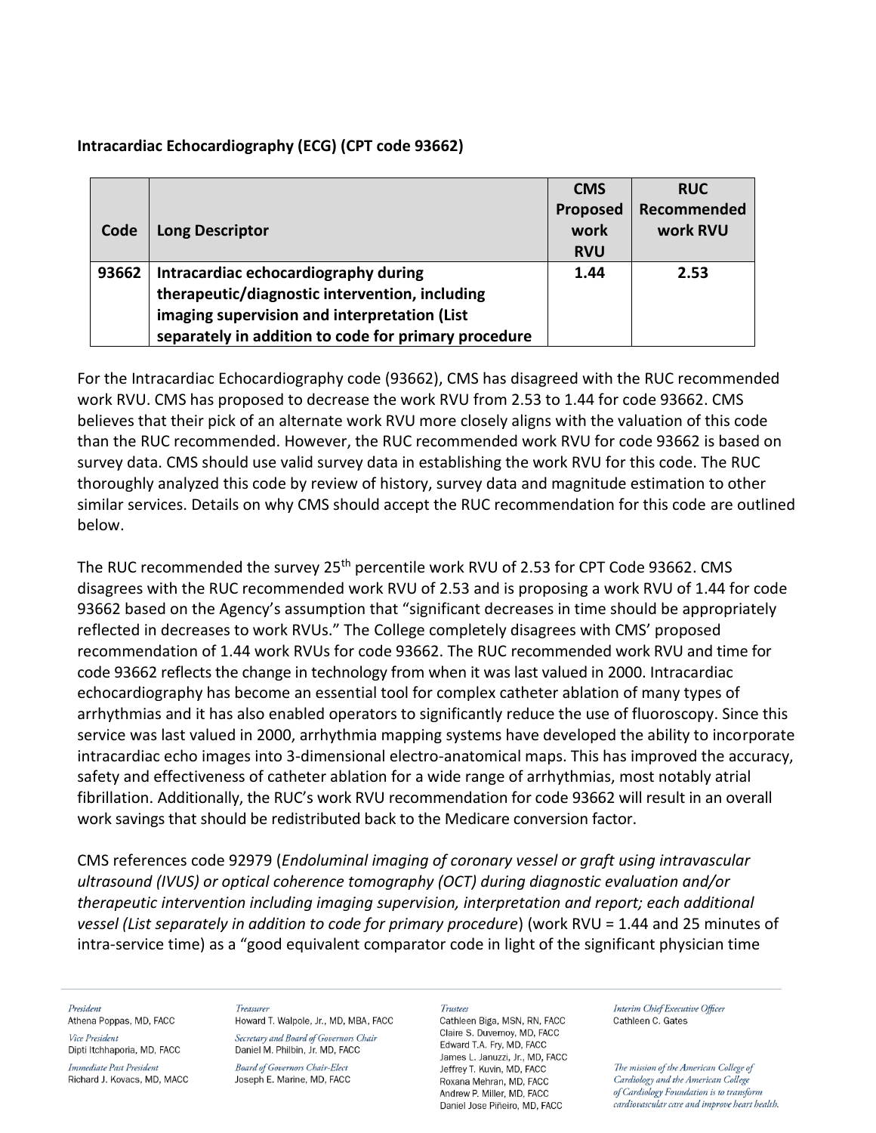## **Intracardiac Echocardiography (ECG) (CPT code 93662)**

|       |                                                      | <b>CMS</b> | <b>RUC</b>  |
|-------|------------------------------------------------------|------------|-------------|
|       |                                                      | Proposed   | Recommended |
| Code  | <b>Long Descriptor</b>                               | work       | work RVU    |
|       |                                                      | <b>RVU</b> |             |
| 93662 | Intracardiac echocardiography during                 | 1.44       | 2.53        |
|       | therapeutic/diagnostic intervention, including       |            |             |
|       | imaging supervision and interpretation (List         |            |             |
|       | separately in addition to code for primary procedure |            |             |

For the Intracardiac Echocardiography code (93662), CMS has disagreed with the RUC recommended work RVU. CMS has proposed to decrease the work RVU from 2.53 to 1.44 for code 93662. CMS believes that their pick of an alternate work RVU more closely aligns with the valuation of this code than the RUC recommended. However, the RUC recommended work RVU for code 93662 is based on survey data. CMS should use valid survey data in establishing the work RVU for this code. The RUC thoroughly analyzed this code by review of history, survey data and magnitude estimation to other similar services. Details on why CMS should accept the RUC recommendation for this code are outlined below.

The RUC recommended the survey 25<sup>th</sup> percentile work RVU of 2.53 for CPT Code 93662. CMS disagrees with the RUC recommended work RVU of 2.53 and is proposing a work RVU of 1.44 for code 93662 based on the Agency's assumption that "significant decreases in time should be appropriately reflected in decreases to work RVUs." The College completely disagrees with CMS' proposed recommendation of 1.44 work RVUs for code 93662. The RUC recommended work RVU and time for code 93662 reflects the change in technology from when it was last valued in 2000. Intracardiac echocardiography has become an essential tool for complex catheter ablation of many types of arrhythmias and it has also enabled operators to significantly reduce the use of fluoroscopy. Since this service was last valued in 2000, arrhythmia mapping systems have developed the ability to incorporate intracardiac echo images into 3-dimensional electro-anatomical maps. This has improved the accuracy, safety and effectiveness of catheter ablation for a wide range of arrhythmias, most notably atrial fibrillation. Additionally, the RUC's work RVU recommendation for code 93662 will result in an overall work savings that should be redistributed back to the Medicare conversion factor.

CMS references code 92979 (*Endoluminal imaging of coronary vessel or graft using intravascular ultrasound (IVUS) or optical coherence tomography (OCT) during diagnostic evaluation and/or therapeutic intervention including imaging supervision, interpretation and report; each additional vessel (List separately in addition to code for primary procedure*) (work RVU = 1.44 and 25 minutes of intra-service time) as a "good equivalent comparator code in light of the significant physician time

### President

Athena Poppas, MD, FACC Vice President

Dipti Itchhaporia, MD, FACC Immediate Past President

Richard J. Kovacs, MD, MACC

**Treasure** Howard T. Walpole, Jr., MD, MBA, FACC Secretary and Board of Governors Chair

Daniel M. Philbin, Jr. MD, FACC **Board of Governors Chair-Elect** Joseph E. Marine, MD, FACC

#### **Trustees**

Cathleen Biga, MSN, RN, FACC Claire S. Duvernov. MD. FACC Edward T.A. Fry, MD, FACC James L. Januzzi, Jr., MD, FACC Jeffrey T. Kuvin, MD, FACC Roxana Mehran, MD, FACC Andrew P. Miller, MD. FACC Daniel Jose Piñeiro, MD, FACC

Interim Chief Executive Officer Cathleen C. Gates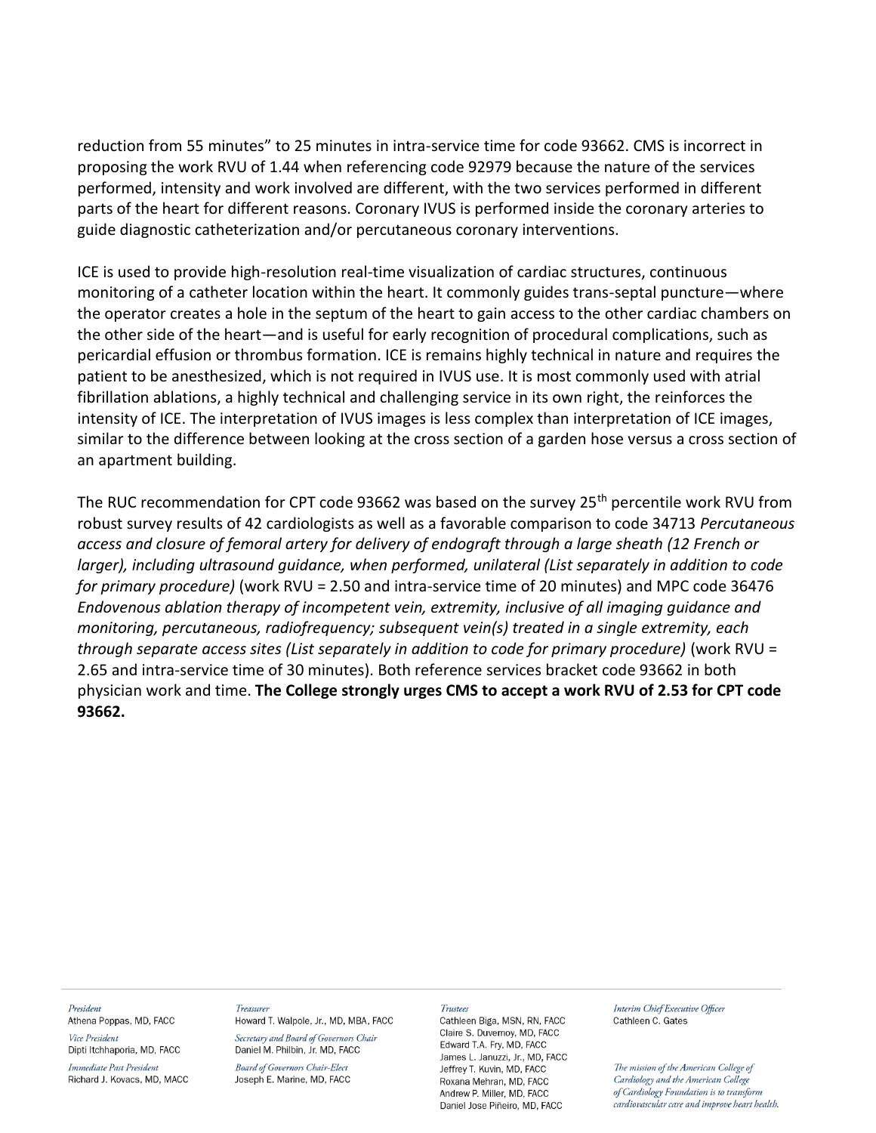reduction from 55 minutes" to 25 minutes in intra-service time for code 93662. CMS is incorrect in proposing the work RVU of 1.44 when referencing code 92979 because the nature of the services performed, intensity and work involved are different, with the two services performed in different parts of the heart for different reasons. Coronary IVUS is performed inside the coronary arteries to guide diagnostic catheterization and/or percutaneous coronary interventions.

ICE is used to provide high-resolution real-time visualization of cardiac structures, continuous monitoring of a catheter location within the heart. It commonly guides trans-septal puncture—where the operator creates a hole in the septum of the heart to gain access to the other cardiac chambers on the other side of the heart—and is useful for early recognition of procedural complications, such as pericardial effusion or thrombus formation. ICE is remains highly technical in nature and requires the patient to be anesthesized, which is not required in IVUS use. It is most commonly used with atrial fibrillation ablations, a highly technical and challenging service in its own right, the reinforces the intensity of ICE. The interpretation of IVUS images is less complex than interpretation of ICE images, similar to the difference between looking at the cross section of a garden hose versus a cross section of an apartment building.

The RUC recommendation for CPT code 93662 was based on the survey 25<sup>th</sup> percentile work RVU from robust survey results of 42 cardiologists as well as a favorable comparison to code 34713 *Percutaneous access and closure of femoral artery for delivery of endograft through a large sheath (12 French or larger), including ultrasound guidance, when performed, unilateral (List separately in addition to code for primary procedure)* (work RVU = 2.50 and intra-service time of 20 minutes) and MPC code 36476 *Endovenous ablation therapy of incompetent vein, extremity, inclusive of all imaging guidance and monitoring, percutaneous, radiofrequency; subsequent vein(s) treated in a single extremity, each through separate access sites (List separately in addition to code for primary procedure)* (work RVU = 2.65 and intra-service time of 30 minutes). Both reference services bracket code 93662 in both physician work and time. **The College strongly urges CMS to accept a work RVU of 2.53 for CPT code 93662.**

#### President Athena Poppas, MD, FACC

Vice President Dipti Itchhaporia, MD, FACC

Immediate Past President Richard J. Kovacs, MD, MACC

### **Treasure** Howard T. Walpole, Jr., MD, MBA, FACC

Secretary and Board of Governors Chair Daniel M. Philbin, Jr. MD, FACC **Board of Governors Chair-Elect** Joseph E. Marine, MD, FACC

### Trustees

Cathleen Biga, MSN, RN, FACC Claire S. Duvernov. MD. FACC Edward T.A. Fry, MD, FACC James L. Januzzi, Jr., MD, FACC Jeffrey T. Kuvin, MD, FACC Roxana Mehran, MD, FACC Andrew P. Miller, MD. FACC Daniel Jose Piñeiro, MD, FACC

Interim Chief Executive Officer Cathleen C. Gates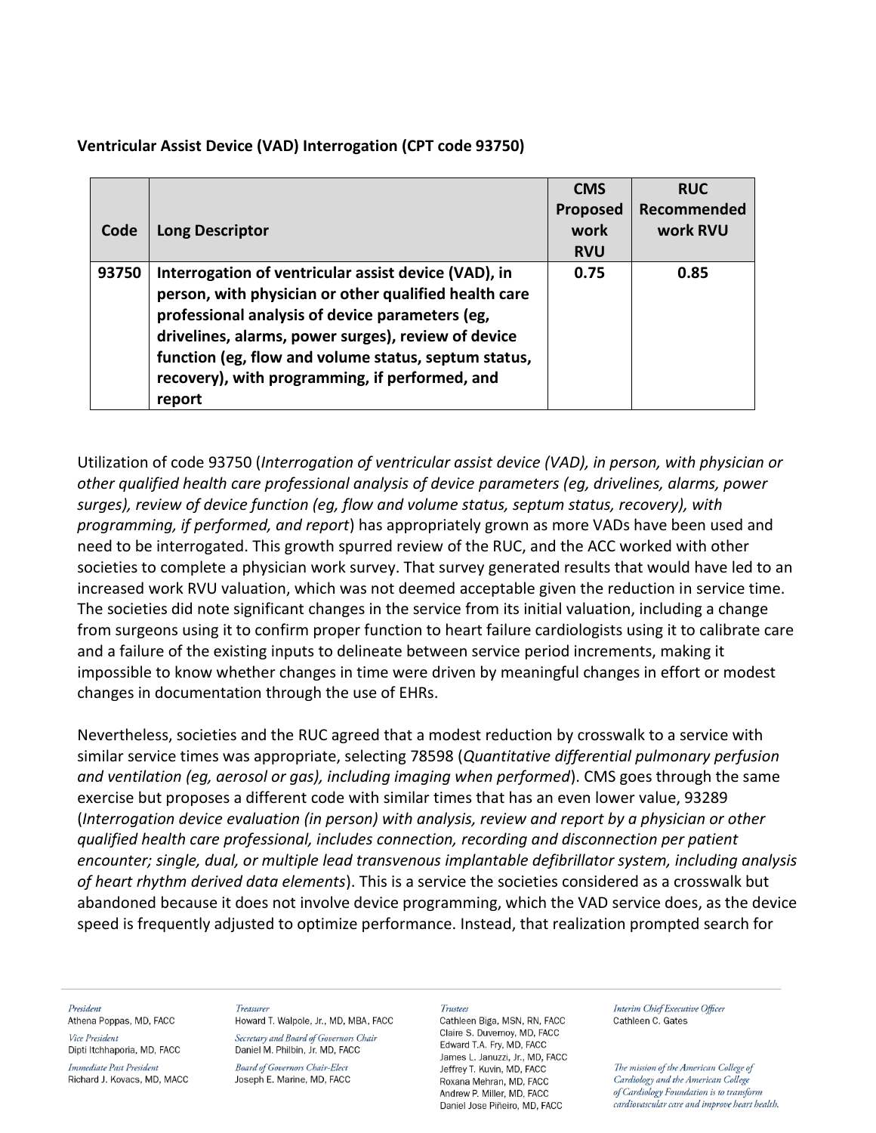| Code  | <b>Long Descriptor</b>                                                                                                                                                                                                                                                                                                                      | <b>CMS</b><br>Proposed<br>work<br><b>RVU</b> | <b>RUC</b><br>Recommended<br>work RVU |
|-------|---------------------------------------------------------------------------------------------------------------------------------------------------------------------------------------------------------------------------------------------------------------------------------------------------------------------------------------------|----------------------------------------------|---------------------------------------|
| 93750 | Interrogation of ventricular assist device (VAD), in<br>person, with physician or other qualified health care<br>professional analysis of device parameters (eg,<br>drivelines, alarms, power surges), review of device<br>function (eg, flow and volume status, septum status,<br>recovery), with programming, if performed, and<br>report | 0.75                                         | 0.85                                  |

**Ventricular Assist Device (VAD) Interrogation (CPT code 93750)**

Utilization of code 93750 (*Interrogation of ventricular assist device (VAD), in person, with physician or other qualified health care professional analysis of device parameters (eg, drivelines, alarms, power surges), review of device function (eg, flow and volume status, septum status, recovery), with programming, if performed, and report*) has appropriately grown as more VADs have been used and need to be interrogated. This growth spurred review of the RUC, and the ACC worked with other societies to complete a physician work survey. That survey generated results that would have led to an increased work RVU valuation, which was not deemed acceptable given the reduction in service time. The societies did note significant changes in the service from its initial valuation, including a change from surgeons using it to confirm proper function to heart failure cardiologists using it to calibrate care and a failure of the existing inputs to delineate between service period increments, making it impossible to know whether changes in time were driven by meaningful changes in effort or modest changes in documentation through the use of EHRs.

Nevertheless, societies and the RUC agreed that a modest reduction by crosswalk to a service with similar service times was appropriate, selecting 78598 (*Quantitative differential pulmonary perfusion and ventilation (eg, aerosol or gas), including imaging when performed*). CMS goes through the same exercise but proposes a different code with similar times that has an even lower value, 93289 (*Interrogation device evaluation (in person) with analysis, review and report by a physician or other qualified health care professional, includes connection, recording and disconnection per patient encounter; single, dual, or multiple lead transvenous implantable defibrillator system, including analysis of heart rhythm derived data elements*). This is a service the societies considered as a crosswalk but abandoned because it does not involve device programming, which the VAD service does, as the device speed is frequently adjusted to optimize performance. Instead, that realization prompted search for

### President

Athena Poppas, MD, FACC

Vice President Dipti Itchhaporia, MD, FACC

Immediate Past President Richard J. Kovacs, MD, MACC

### Treasurer

Howard T. Walpole, Jr., MD, MBA, FACC Secretary and Board of Governors Chair Daniel M. Philbin, Jr. MD, FACC

**Board of Governors Chair-Elect** Joseph E. Marine, MD, FACC

#### Trustees

Cathleen Biga, MSN, RN, FACC Claire S. Duvernov. MD. FACC Edward T.A. Fry, MD, FACC James L. Januzzi, Jr., MD, FACC Jeffrey T. Kuvin, MD, FACC Roxana Mehran, MD, FACC Andrew P. Miller, MD. FACC Daniel Jose Piñeiro, MD, FACC

Interim Chief Executive Officer Cathleen C. Gates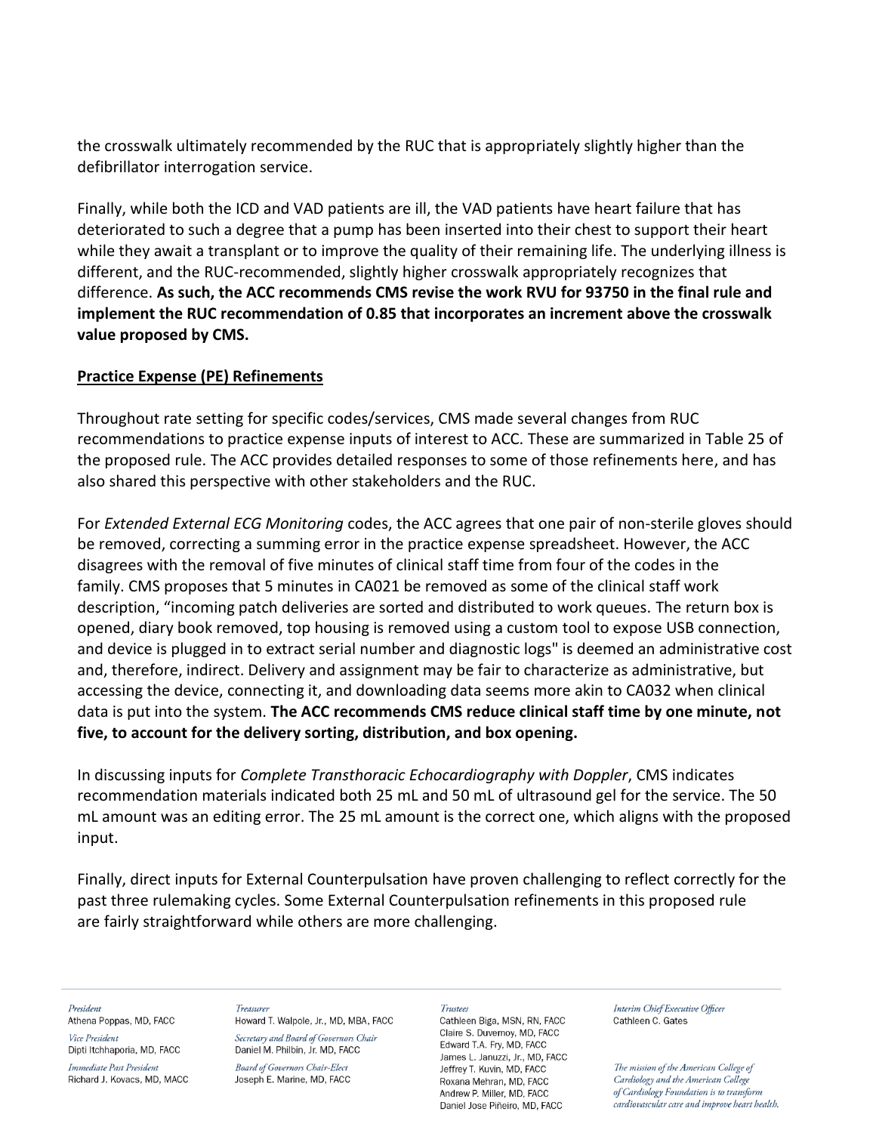the crosswalk ultimately recommended by the RUC that is appropriately slightly higher than the defibrillator interrogation service.

Finally, while both the ICD and VAD patients are ill, the VAD patients have heart failure that has deteriorated to such a degree that a pump has been inserted into their chest to support their heart while they await a transplant or to improve the quality of their remaining life. The underlying illness is different, and the RUC-recommended, slightly higher crosswalk appropriately recognizes that difference. **As such, the ACC recommends CMS revise the work RVU for 93750 in the final rule and implement the RUC recommendation of 0.85 that incorporates an increment above the crosswalk value proposed by CMS.**

## **Practice Expense (PE) Refinements**

Throughout rate setting for specific codes/services, CMS made several changes from RUC recommendations to practice expense inputs of interest to ACC. These are summarized in Table 25 of the proposed rule. The ACC provides detailed responses to some of those refinements here, and has also shared this perspective with other stakeholders and the RUC.

For *Extended External ECG Monitoring* codes, the ACC agrees that one pair of non-sterile gloves should be removed, correcting a summing error in the practice expense spreadsheet. However, the ACC disagrees with the removal of five minutes of clinical staff time from four of the codes in the family. CMS proposes that 5 minutes in CA021 be removed as some of the clinical staff work description, "incoming patch deliveries are sorted and distributed to work queues. The return box is opened, diary book removed, top housing is removed using a custom tool to expose USB connection, and device is plugged in to extract serial number and diagnostic logs" is deemed an administrative cost and, therefore, indirect. Delivery and assignment may be fair to characterize as administrative, but accessing the device, connecting it, and downloading data seems more akin to CA032 when clinical data is put into the system. **The ACC recommends CMS reduce clinical staff time by one minute, not five, to account for the delivery sorting, distribution, and box opening.**

In discussing inputs for *Complete Transthoracic Echocardiography with Doppler*, CMS indicates recommendation materials indicated both 25 mL and 50 mL of ultrasound gel for the service. The 50 mL amount was an editing error. The 25 mL amount is the correct one, which aligns with the proposed input.

Finally, direct inputs for External Counterpulsation have proven challenging to reflect correctly for the past three rulemaking cycles. Some External Counterpulsation refinements in this proposed rule are fairly straightforward while others are more challenging.

President Athena Poppas, MD, FACC

Vice President Dipti Itchhaporia, MD, FACC

Immediate Past President Richard J. Kovacs, MD, MACC

Treasurer Howard T. Walpole, Jr., MD, MBA, FACC Secretary and Board of Governors Chair

Daniel M. Philbin, Jr. MD, FACC **Board of Governors Chair-Elect** Joseph E. Marine, MD, FACC

### Trustees

Cathleen Biga, MSN, RN, FACC Claire S. Duvernov. MD. FACC Edward T.A. Fry, MD, FACC James L. Januzzi, Jr., MD, FACC Jeffrey T. Kuvin, MD, FACC Roxana Mehran, MD, FACC Andrew P. Miller, MD. FACC Daniel Jose Piñeiro, MD, FACC

Interim Chief Executive Officer Cathleen C. Gates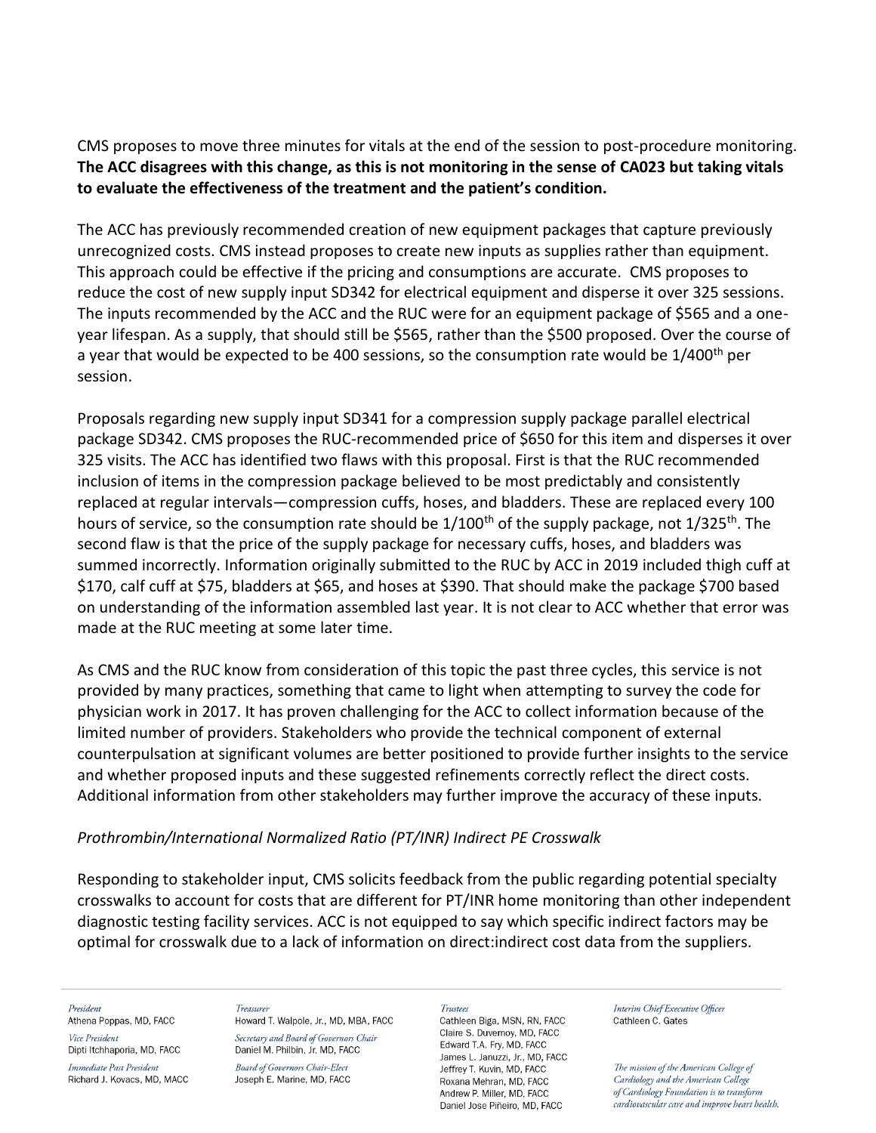CMS proposes to move three minutes for vitals at the end of the session to post-procedure monitoring. **The ACC disagrees with this change, as this is not monitoring in the sense of CA023 but taking vitals to evaluate the effectiveness of the treatment and the patient's condition.** 

The ACC has previously recommended creation of new equipment packages that capture previously unrecognized costs. CMS instead proposes to create new inputs as supplies rather than equipment. This approach could be effective if the pricing and consumptions are accurate. CMS proposes to reduce the cost of new supply input SD342 for electrical equipment and disperse it over 325 sessions. The inputs recommended by the ACC and the RUC were for an equipment package of \$565 and a oneyear lifespan. As a supply, that should still be \$565, rather than the \$500 proposed. Over the course of a year that would be expected to be 400 sessions, so the consumption rate would be  $1/400^{th}$  per session.

Proposals regarding new supply input SD341 for a compression supply package parallel electrical package SD342. CMS proposes the RUC-recommended price of \$650 for this item and disperses it over 325 visits. The ACC has identified two flaws with this proposal. First is that the RUC recommended inclusion of items in the compression package believed to be most predictably and consistently replaced at regular intervals—compression cuffs, hoses, and bladders. These are replaced every 100 hours of service, so the consumption rate should be  $1/100^{th}$  of the supply package, not  $1/325^{th}$ . The second flaw is that the price of the supply package for necessary cuffs, hoses, and bladders was summed incorrectly. Information originally submitted to the RUC by ACC in 2019 included thigh cuff at \$170, calf cuff at \$75, bladders at \$65, and hoses at \$390. That should make the package \$700 based on understanding of the information assembled last year. It is not clear to ACC whether that error was made at the RUC meeting at some later time.

As CMS and the RUC know from consideration of this topic the past three cycles, this service is not provided by many practices, something that came to light when attempting to survey the code for physician work in 2017. It has proven challenging for the ACC to collect information because of the limited number of providers. Stakeholders who provide the technical component of external counterpulsation at significant volumes are better positioned to provide further insights to the service and whether proposed inputs and these suggested refinements correctly reflect the direct costs. Additional information from other stakeholders may further improve the accuracy of these inputs.

## *Prothrombin/International Normalized Ratio (PT/INR) Indirect PE Crosswalk*

Responding to stakeholder input, CMS solicits feedback from the public regarding potential specialty crosswalks to account for costs that are different for PT/INR home monitoring than other independent diagnostic testing facility services. ACC is not equipped to say which specific indirect factors may be optimal for crosswalk due to a lack of information on direct:indirect cost data from the suppliers.

#### President

Athena Poppas, MD, FACC Vice President

Dipti Itchhaporia, MD, FACC

Immediate Past President Richard J. Kovacs, MD, MACC

Treasurer Howard T. Walpole, Jr., MD, MBA, FACC Secretary and Board of Governors Chair Daniel M. Philbin, Jr. MD, FACC

**Board of Governors Chair-Elect** Joseph E. Marine, MD, FACC

#### **Trustees**

Cathleen Biga, MSN, RN, FACC Claire S. Duvernov. MD. FACC Edward T.A. Fry, MD, FACC James L. Januzzi, Jr., MD, FACC Jeffrey T. Kuvin, MD, FACC Roxana Mehran, MD, FACC Andrew P. Miller, MD. FACC Daniel Jose Piñeiro, MD, FACC

Interim Chief Executive Officer Cathleen C. Gates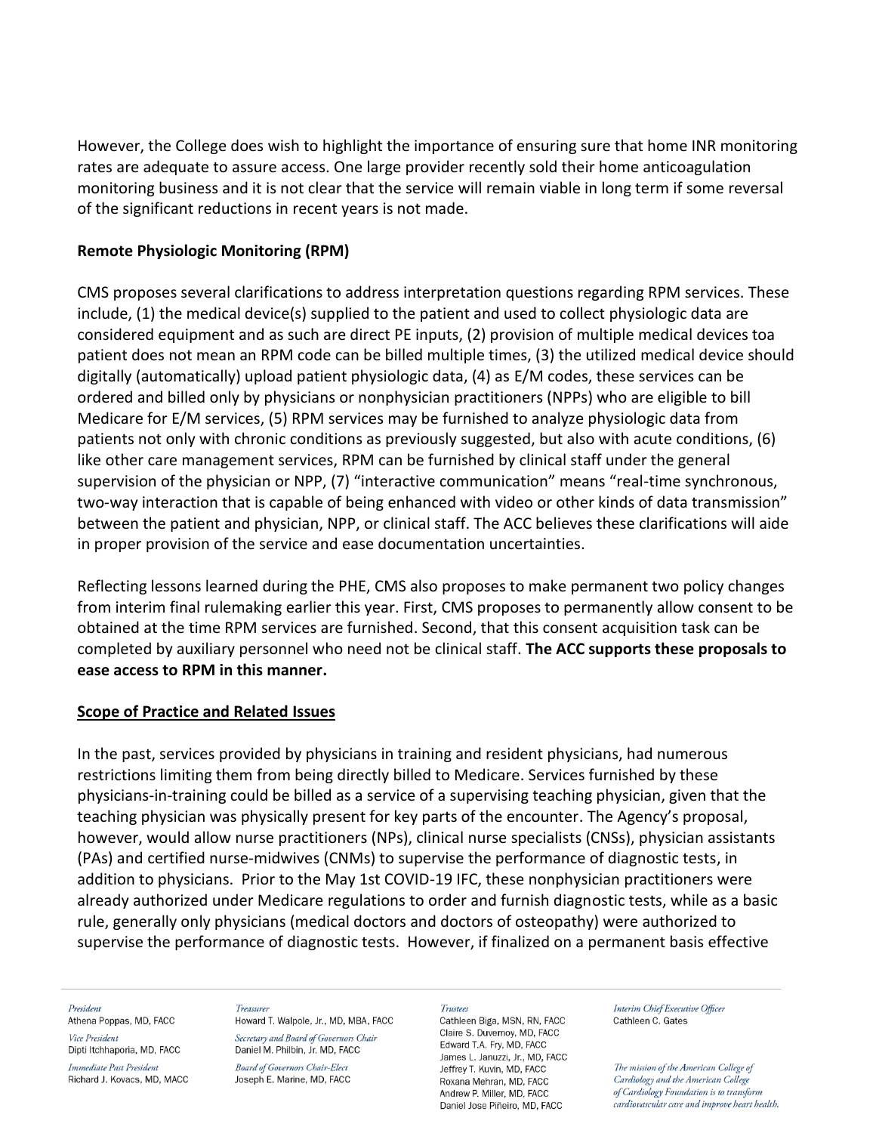However, the College does wish to highlight the importance of ensuring sure that home INR monitoring rates are adequate to assure access. One large provider recently sold their home anticoagulation monitoring business and it is not clear that the service will remain viable in long term if some reversal of the significant reductions in recent years is not made.

## **Remote Physiologic Monitoring (RPM)**

CMS proposes several clarifications to address interpretation questions regarding RPM services. These include, (1) the medical device(s) supplied to the patient and used to collect physiologic data are considered equipment and as such are direct PE inputs, (2) provision of multiple medical devices toa patient does not mean an RPM code can be billed multiple times, (3) the utilized medical device should digitally (automatically) upload patient physiologic data, (4) as E/M codes, these services can be ordered and billed only by physicians or nonphysician practitioners (NPPs) who are eligible to bill Medicare for E/M services, (5) RPM services may be furnished to analyze physiologic data from patients not only with chronic conditions as previously suggested, but also with acute conditions, (6) like other care management services, RPM can be furnished by clinical staff under the general supervision of the physician or NPP, (7) "interactive communication" means "real-time synchronous, two-way interaction that is capable of being enhanced with video or other kinds of data transmission" between the patient and physician, NPP, or clinical staff. The ACC believes these clarifications will aide in proper provision of the service and ease documentation uncertainties.

Reflecting lessons learned during the PHE, CMS also proposes to make permanent two policy changes from interim final rulemaking earlier this year. First, CMS proposes to permanently allow consent to be obtained at the time RPM services are furnished. Second, that this consent acquisition task can be completed by auxiliary personnel who need not be clinical staff. **The ACC supports these proposals to ease access to RPM in this manner.**

## **Scope of Practice and Related Issues**

In the past, services provided by physicians in training and resident physicians, had numerous restrictions limiting them from being directly billed to Medicare. Services furnished by these physicians-in-training could be billed as a service of a supervising teaching physician, given that the teaching physician was physically present for key parts of the encounter. The Agency's proposal, however, would allow nurse practitioners (NPs), clinical nurse specialists (CNSs), physician assistants (PAs) and certified nurse-midwives (CNMs) to supervise the performance of diagnostic tests, in addition to physicians. Prior to the May 1st COVID-19 IFC, these nonphysician practitioners were already authorized under Medicare regulations to order and furnish diagnostic tests, while as a basic rule, generally only physicians (medical doctors and doctors of osteopathy) were authorized to supervise the performance of diagnostic tests. However, if finalized on a permanent basis effective

### President

Athena Poppas, MD, FACC Vice President

Dipti Itchhaporia, MD, FACC Immediate Past President

Richard J. Kovacs, MD, MACC

Treasurer Howard T. Walpole, Jr., MD, MBA, FACC Secretary and Board of Governors Chair

Daniel M. Philbin, Jr. MD, FACC **Board of Governors Chair-Elect** Joseph E. Marine, MD, FACC

#### **Trustees**

Cathleen Biga, MSN, RN, FACC Claire S. Duvernov. MD. FACC Edward T.A. Fry, MD, FACC James L. Januzzi, Jr., MD, FACC Jeffrey T. Kuvin, MD, FACC Roxana Mehran, MD, FACC Andrew P. Miller, MD. FACC Daniel Jose Piñeiro, MD, FACC

Interim Chief Executive Officer Cathleen C. Gates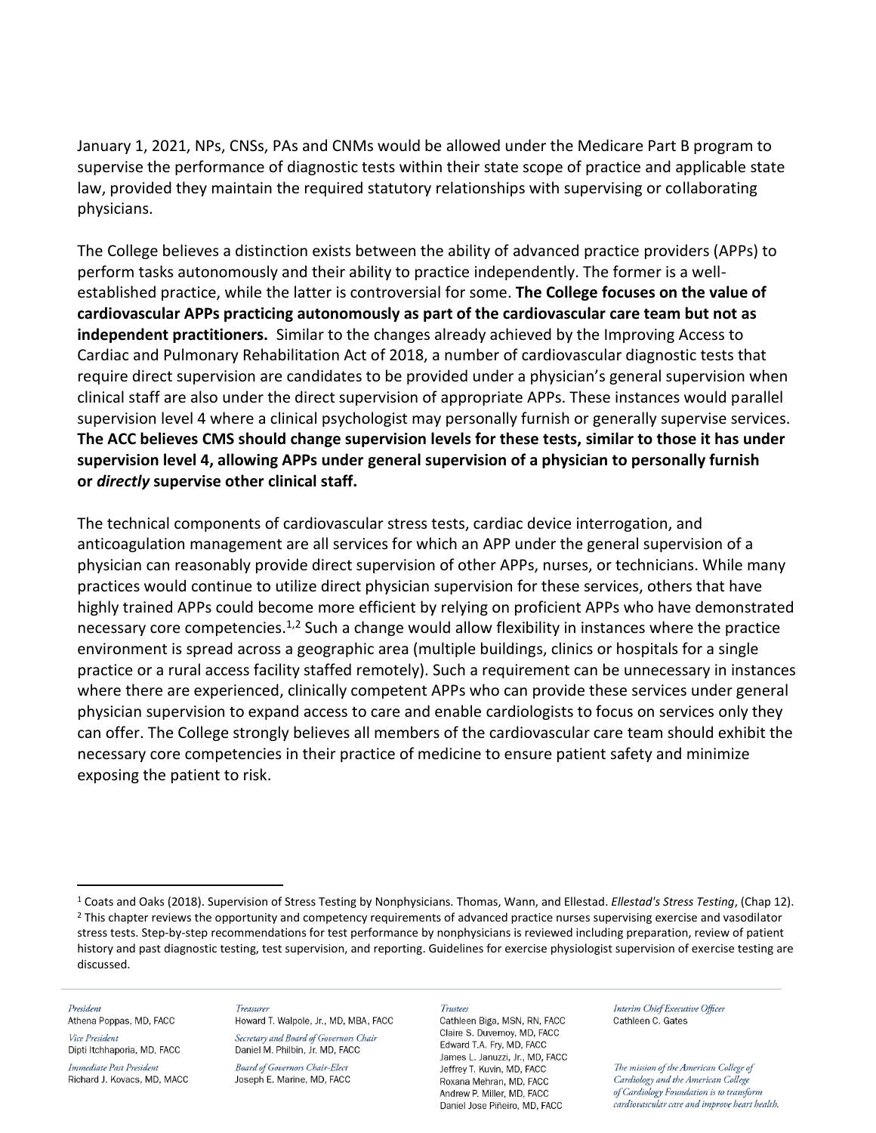January 1, 2021, NPs, CNSs, PAs and CNMs would be allowed under the Medicare Part B program to supervise the performance of diagnostic tests within their state scope of practice and applicable state law, provided they maintain the required statutory relationships with supervising or collaborating physicians.

The College believes a distinction exists between the ability of advanced practice providers (APPs) to perform tasks autonomously and their ability to practice independently. The former is a wellestablished practice, while the latter is controversial for some. **The College focuses on the value of cardiovascular APPs practicing autonomously as part of the cardiovascular care team but not as independent practitioners.** Similar to the changes already achieved by the Improving Access to Cardiac and Pulmonary Rehabilitation Act of 2018, a number of cardiovascular diagnostic tests that require direct supervision are candidates to be provided under a physician's general supervision when clinical staff are also under the direct supervision of appropriate APPs. These instances would parallel supervision level 4 where a clinical psychologist may personally furnish or generally supervise services. **The ACC believes CMS should change supervision levels for these tests, similar to those it has under supervision level 4, allowing APPs under general supervision of a physician to personally furnish or** *directly* **supervise other clinical staff.**

The technical components of cardiovascular stress tests, cardiac device interrogation, and anticoagulation management are all services for which an APP under the general supervision of a physician can reasonably provide direct supervision of other APPs, nurses, or technicians. While many practices would continue to utilize direct physician supervision for these services, others that have highly trained APPs could become more efficient by relying on proficient APPs who have demonstrated necessary core competencies.<sup>1,2</sup> Such a change would allow flexibility in instances where the practice environment is spread across a geographic area (multiple buildings, clinics or hospitals for a single practice or a rural access facility staffed remotely). Such a requirement can be unnecessary in instances where there are experienced, clinically competent APPs who can provide these services under general physician supervision to expand access to care and enable cardiologists to focus on services only they can offer. The College strongly believes all members of the cardiovascular care team should exhibit the necessary core competencies in their practice of medicine to ensure patient safety and minimize exposing the patient to risk.

#### President

Athena Poppas, MD, FACC Vice President

Dipti Itchhaporia, MD, FACC

Immediate Past President Richard J. Kovacs, MD, MACC

Treasurer Howard T. Walpole, Jr., MD, MBA, FACC Secretary and Board of Governors Chair

Daniel M. Philbin, Jr. MD, FACC **Board of Governors Chair-Elect** Joseph E. Marine, MD, FACC

#### Trustees

Cathleen Biga, MSN, RN, FACC Claire S. Duvernov, MD. FACC Edward T.A. Fry, MD, FACC James L. Januzzi, Jr., MD, FACC Jeffrey T. Kuvin, MD, FACC Roxana Mehran, MD, FACC Andrew P. Miller, MD. FACC Daniel Jose Piñeiro, MD, FACC

Interim Chief Executive Officer Cathleen C. Gates

<sup>1</sup> Coats and Oaks (2018). Supervision of Stress Testing by Nonphysicians. Thomas, Wann, and Ellestad. *Ellestad's Stress Testing*, (Chap 12). <sup>2</sup> This chapter reviews the opportunity and competency requirements of advanced practice nurses supervising exercise and vasodilator stress tests. Step-by-step recommendations for test performance by nonphysicians is reviewed including preparation, review of patient history and past diagnostic testing, test supervision, and reporting. Guidelines for exercise physiologist supervision of exercise testing are discussed.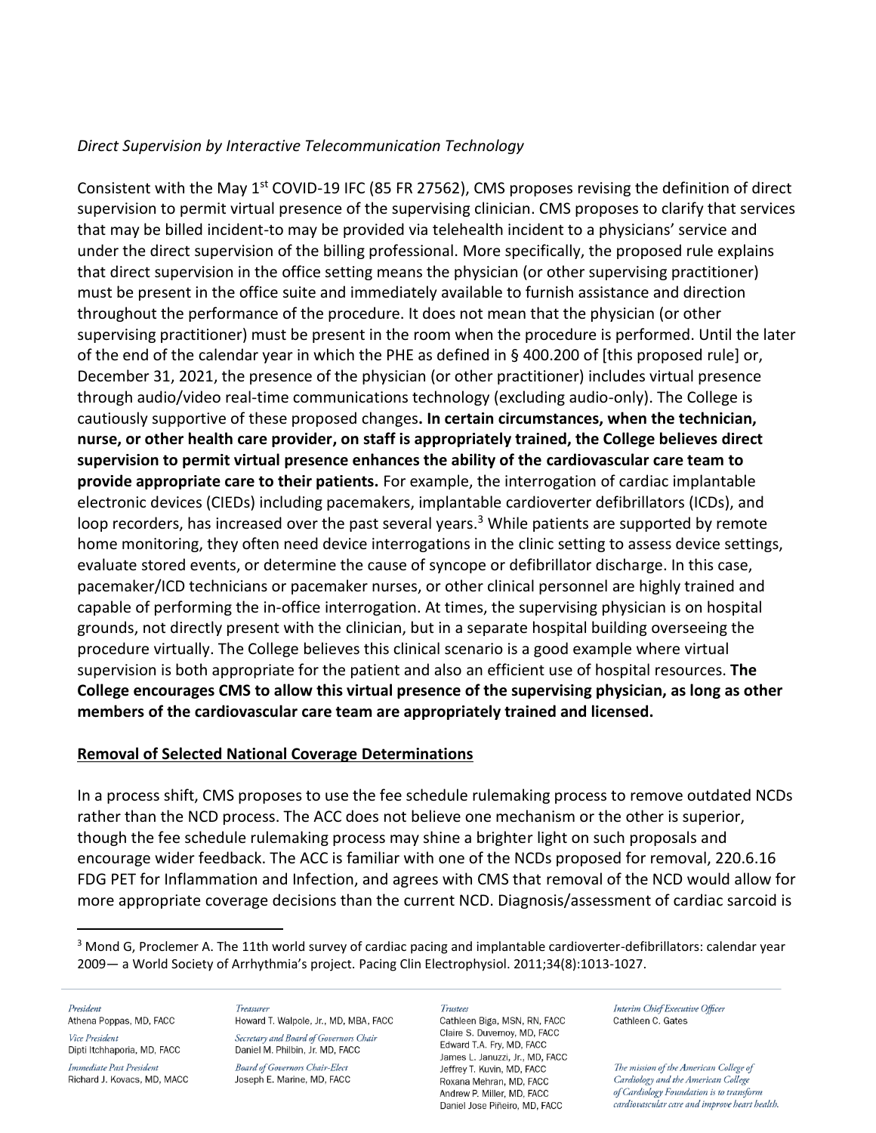## *Direct Supervision by Interactive Telecommunication Technology*

Consistent with the May  $1<sup>st</sup>$  COVID-19 IFC (85 FR 27562), CMS proposes revising the definition of direct supervision to permit virtual presence of the supervising clinician. CMS proposes to clarify that services that may be billed incident-to may be provided via telehealth incident to a physicians' service and under the direct supervision of the billing professional. More specifically, the proposed rule explains that direct supervision in the office setting means the physician (or other supervising practitioner) must be present in the office suite and immediately available to furnish assistance and direction throughout the performance of the procedure. It does not mean that the physician (or other supervising practitioner) must be present in the room when the procedure is performed. Until the later of the end of the calendar year in which the PHE as defined in § 400.200 of [this proposed rule] or, December 31, 2021, the presence of the physician (or other practitioner) includes virtual presence through audio/video real-time communications technology (excluding audio-only). The College is cautiously supportive of these proposed changes**. In certain circumstances, when the technician, nurse, or other health care provider, on staff is appropriately trained, the College believes direct supervision to permit virtual presence enhances the ability of the cardiovascular care team to provide appropriate care to their patients.** For example, the interrogation of cardiac implantable electronic devices (CIEDs) including pacemakers, implantable cardioverter defibrillators (ICDs), and loop recorders, has increased over the past several years.<sup>3</sup> While patients are supported by remote home monitoring, they often need device interrogations in the clinic setting to assess device settings, evaluate stored events, or determine the cause of syncope or defibrillator discharge. In this case, pacemaker/ICD technicians or pacemaker nurses, or other clinical personnel are highly trained and capable of performing the in-office interrogation. At times, the supervising physician is on hospital grounds, not directly present with the clinician, but in a separate hospital building overseeing the procedure virtually. The College believes this clinical scenario is a good example where virtual supervision is both appropriate for the patient and also an efficient use of hospital resources. **The College encourages CMS to allow this virtual presence of the supervising physician, as long as other members of the cardiovascular care team are appropriately trained and licensed.**

## **Removal of Selected National Coverage Determinations**

In a process shift, CMS proposes to use the fee schedule rulemaking process to remove outdated NCDs rather than the NCD process. The ACC does not believe one mechanism or the other is superior, though the fee schedule rulemaking process may shine a brighter light on such proposals and encourage wider feedback. The ACC is familiar with one of the NCDs proposed for removal, 220.6.16 FDG PET for Inflammation and Infection, and agrees with CMS that removal of the NCD would allow for more appropriate coverage decisions than the current NCD. Diagnosis/assessment of cardiac sarcoid is

President

Athena Poppas, MD, FACC Vice President

Dipti Itchhaporia, MD, FACC Immediate Past President Richard J. Kovacs, MD, MACC

#### Treasurer

Howard T. Walpole, Jr., MD, MBA, FACC Secretary and Board of Governors Chair Daniel M. Philbin, Jr. MD, FACC Board of Governors Chair-Elect Joseph E. Marine, MD, FACC

#### **Trustees**

Cathleen Biga, MSN, RN, FACC Claire S. Duvernoy, MD, FACC Edward T.A. Fry, MD, FACC James L. Januzzi, Jr., MD, FACC Jeffrey T. Kuvin, MD, FACC Roxana Mehran, MD, FACC Andrew P. Miller, MD. FACC Daniel Jose Piñeiro, MD, FACC

Interim Chief Executive Officer Cathleen C. Gates

<sup>&</sup>lt;sup>3</sup> Mond G, Proclemer A. The 11th world survey of cardiac pacing and implantable cardioverter-defibrillators: calendar year 2009— a World Society of Arrhythmia's project. Pacing Clin Electrophysiol. 2011;34(8):1013-1027.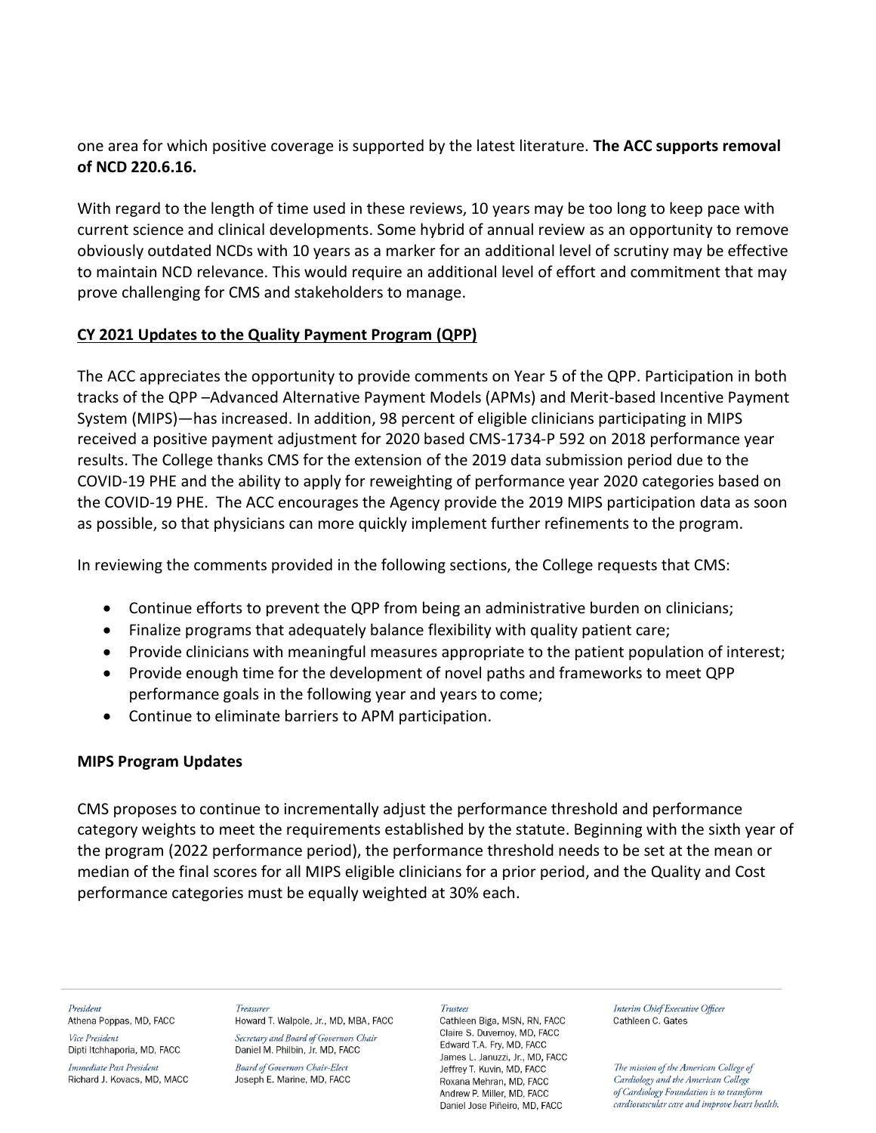one area for which positive coverage is supported by the latest literature. **The ACC supports removal of NCD 220.6.16.** 

With regard to the length of time used in these reviews, 10 years may be too long to keep pace with current science and clinical developments. Some hybrid of annual review as an opportunity to remove obviously outdated NCDs with 10 years as a marker for an additional level of scrutiny may be effective to maintain NCD relevance. This would require an additional level of effort and commitment that may prove challenging for CMS and stakeholders to manage.

## **CY 2021 Updates to the Quality Payment Program (QPP)**

The ACC appreciates the opportunity to provide comments on Year 5 of the QPP. Participation in both tracks of the QPP –Advanced Alternative Payment Models (APMs) and Merit-based Incentive Payment System (MIPS)—has increased. In addition, 98 percent of eligible clinicians participating in MIPS received a positive payment adjustment for 2020 based CMS-1734-P 592 on 2018 performance year results. The College thanks CMS for the extension of the 2019 data submission period due to the COVID-19 PHE and the ability to apply for reweighting of performance year 2020 categories based on the COVID-19 PHE. The ACC encourages the Agency provide the 2019 MIPS participation data as soon as possible, so that physicians can more quickly implement further refinements to the program.

In reviewing the comments provided in the following sections, the College requests that CMS:

- Continue efforts to prevent the QPP from being an administrative burden on clinicians;
- Finalize programs that adequately balance flexibility with quality patient care;
- Provide clinicians with meaningful measures appropriate to the patient population of interest;
- Provide enough time for the development of novel paths and frameworks to meet QPP performance goals in the following year and years to come;
- Continue to eliminate barriers to APM participation.

## **MIPS Program Updates**

CMS proposes to continue to incrementally adjust the performance threshold and performance category weights to meet the requirements established by the statute. Beginning with the sixth year of the program (2022 performance period), the performance threshold needs to be set at the mean or median of the final scores for all MIPS eligible clinicians for a prior period, and the Quality and Cost performance categories must be equally weighted at 30% each.

President Athena Poppas, MD, FACC

Vice President Dipti Itchhaporia, MD, FACC

Immediate Past President Richard J. Kovacs, MD, MACC

Treasurer Howard T. Walpole, Jr., MD, MBA, FACC Secretary and Board of Governors Chair Daniel M. Philbin, Jr. MD, FACC

**Board of Governors Chair-Elect** Joseph E. Marine, MD, FACC

#### Trustees

Cathleen Biga, MSN, RN, FACC Claire S. Duvernov. MD. FACC Edward T.A. Fry, MD, FACC James L. Januzzi, Jr., MD, FACC Jeffrey T. Kuvin, MD, FACC Roxana Mehran, MD, FACC Andrew P. Miller, MD. FACC Daniel Jose Piñeiro, MD, FACC

Interim Chief Executive Officer Cathleen C. Gates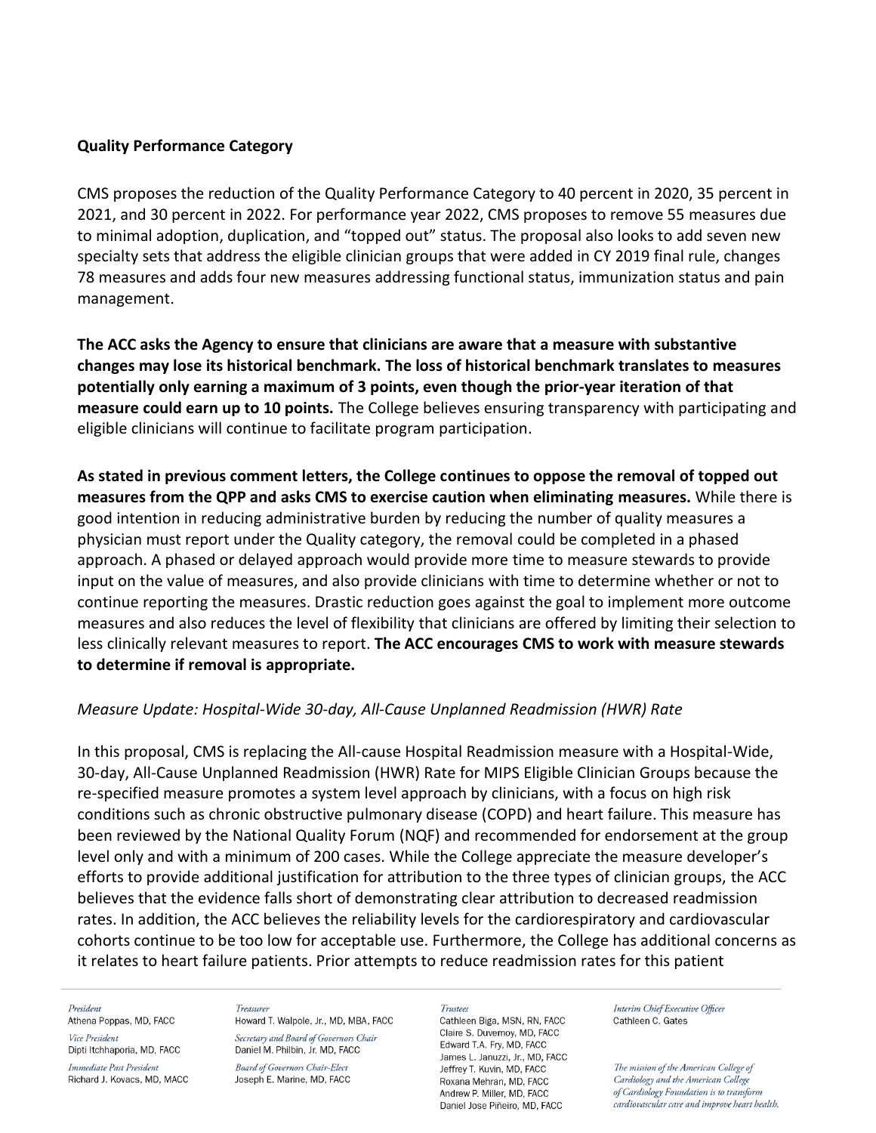### **Quality Performance Category**

CMS proposes the reduction of the Quality Performance Category to 40 percent in 2020, 35 percent in 2021, and 30 percent in 2022. For performance year 2022, CMS proposes to remove 55 measures due to minimal adoption, duplication, and "topped out" status. The proposal also looks to add seven new specialty sets that address the eligible clinician groups that were added in CY 2019 final rule, changes 78 measures and adds four new measures addressing functional status, immunization status and pain management.

**The ACC asks the Agency to ensure that clinicians are aware that a measure with substantive changes may lose its historical benchmark. The loss of historical benchmark translates to measures potentially only earning a maximum of 3 points, even though the prior-year iteration of that measure could earn up to 10 points.** The College believes ensuring transparency with participating and eligible clinicians will continue to facilitate program participation.

**As stated in previous comment letters, the College continues to oppose the removal of topped out measures from the QPP and asks CMS to exercise caution when eliminating measures.** While there is good intention in reducing administrative burden by reducing the number of quality measures a physician must report under the Quality category, the removal could be completed in a phased approach. A phased or delayed approach would provide more time to measure stewards to provide input on the value of measures, and also provide clinicians with time to determine whether or not to continue reporting the measures. Drastic reduction goes against the goal to implement more outcome measures and also reduces the level of flexibility that clinicians are offered by limiting their selection to less clinically relevant measures to report. **The ACC encourages CMS to work with measure stewards to determine if removal is appropriate.**

## *Measure Update: Hospital-Wide 30-day, All-Cause Unplanned Readmission (HWR) Rate*

In this proposal, CMS is replacing the All-cause Hospital Readmission measure with a Hospital-Wide, 30-day, All-Cause Unplanned Readmission (HWR) Rate for MIPS Eligible Clinician Groups because the re-specified measure promotes a system level approach by clinicians, with a focus on high risk conditions such as chronic obstructive pulmonary disease (COPD) and heart failure. This measure has been reviewed by the National Quality Forum (NQF) and recommended for endorsement at the group level only and with a minimum of 200 cases. While the College appreciate the measure developer's efforts to provide additional justification for attribution to the three types of clinician groups, the ACC believes that the evidence falls short of demonstrating clear attribution to decreased readmission rates. In addition, the ACC believes the reliability levels for the cardiorespiratory and cardiovascular cohorts continue to be too low for acceptable use. Furthermore, the College has additional concerns as it relates to heart failure patients. Prior attempts to reduce readmission rates for this patient

#### President

Athena Poppas, MD, FACC Vice President

Dipti Itchhaporia, MD, FACC Immediate Past President Richard J. Kovacs, MD, MACC

#### Treasurer

Howard T. Walpole, Jr., MD, MBA, FACC Secretary and Board of Governors Chair Daniel M. Philbin, Jr. MD, FACC

**Board of Governors Chair-Elect** Joseph E. Marine, MD, FACC

#### **Trustees**

Cathleen Biga, MSN, RN, FACC Claire S. Duvernov. MD. FACC Edward T.A. Fry, MD, FACC James L. Januzzi, Jr., MD, FACC Jeffrey T. Kuvin, MD, FACC Roxana Mehran, MD, FACC Andrew P. Miller, MD. FACC Daniel Jose Piñeiro, MD, FACC

Interim Chief Executive Officer Cathleen C. Gates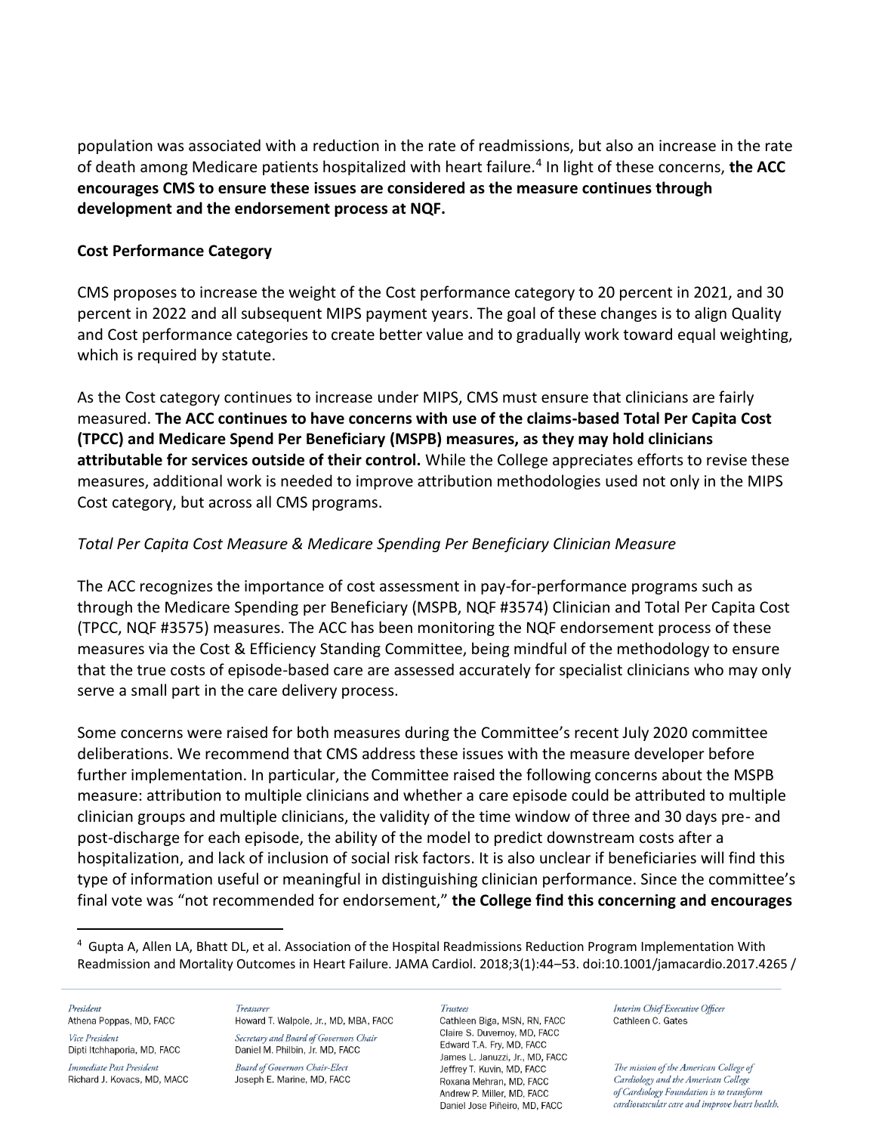population was associated with a reduction in the rate of readmissions, but also an increase in the rate of death among Medicare patients hospitalized with heart failure.<sup>4</sup> In light of these concerns, the ACC **encourages CMS to ensure these issues are considered as the measure continues through development and the endorsement process at NQF.**

## **Cost Performance Category**

CMS proposes to increase the weight of the Cost performance category to 20 percent in 2021, and 30 percent in 2022 and all subsequent MIPS payment years. The goal of these changes is to align Quality and Cost performance categories to create better value and to gradually work toward equal weighting, which is required by statute.

As the Cost category continues to increase under MIPS, CMS must ensure that clinicians are fairly measured. **The ACC continues to have concerns with use of the claims-based Total Per Capita Cost (TPCC) and Medicare Spend Per Beneficiary (MSPB) measures, as they may hold clinicians attributable for services outside of their control.** While the College appreciates efforts to revise these measures, additional work is needed to improve attribution methodologies used not only in the MIPS Cost category, but across all CMS programs.

## *Total Per Capita Cost Measure & Medicare Spending Per Beneficiary Clinician Measure*

The ACC recognizes the importance of cost assessment in pay-for-performance programs such as through the Medicare Spending per Beneficiary (MSPB, NQF #3574) Clinician and Total Per Capita Cost (TPCC, NQF #3575) measures. The ACC has been monitoring the NQF endorsement process of these measures via the Cost & Efficiency Standing Committee, being mindful of the methodology to ensure that the true costs of episode-based care are assessed accurately for specialist clinicians who may only serve a small part in the care delivery process.

Some concerns were raised for both measures during the Committee's recent July 2020 committee deliberations. We recommend that CMS address these issues with the measure developer before further implementation. In particular, the Committee raised the following concerns about the MSPB measure: attribution to multiple clinicians and whether a care episode could be attributed to multiple clinician groups and multiple clinicians, the validity of the time window of three and 30 days pre- and post-discharge for each episode, the ability of the model to predict downstream costs after a hospitalization, and lack of inclusion of social risk factors. It is also unclear if beneficiaries will find this type of information useful or meaningful in distinguishing clinician performance. Since the committee's final vote was "not recommended for endorsement," **the College find this concerning and encourages**

President Athena Poppas, MD, FACC Vice President Dipti Itchhaporia, MD, FACC Immediate Past President

Richard J. Kovacs, MD, MACC

### Treasurer

Howard T. Walpole, Jr., MD, MBA, FACC Secretary and Board of Governors Chair Daniel M. Philbin, Jr. MD, FACC **Board of Governors Chair-Elect** Joseph E. Marine, MD, FACC

#### **Trustees**

Cathleen Biga, MSN, RN, FACC Claire S. Duvernov, MD. FACC Edward T.A. Fry, MD, FACC James L. Januzzi, Jr., MD, FACC Jeffrey T. Kuvin, MD, FACC Roxana Mehran, MD, FACC Andrew P. Miller, MD. FACC Daniel Jose Piñeiro, MD, FACC

Interim Chief Executive Officer Cathleen C. Gates

<sup>4</sup> Gupta A, Allen LA, Bhatt DL, et al. Association of the Hospital Readmissions Reduction Program Implementation With Readmission and Mortality Outcomes in Heart Failure. JAMA Cardiol. 2018;3(1):44–53. doi:10.1001/jamacardio.2017.4265 /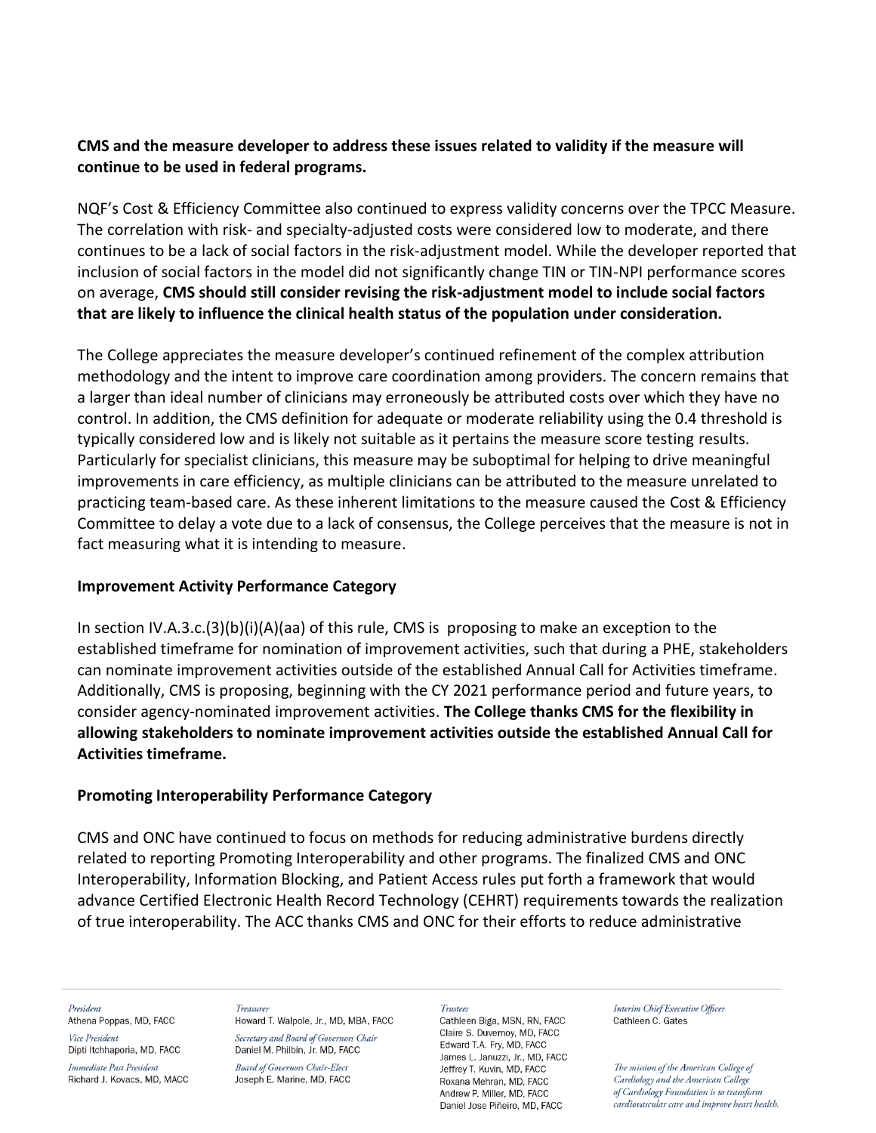## **CMS and the measure developer to address these issues related to validity if the measure will continue to be used in federal programs.**

NQF's Cost & Efficiency Committee also continued to express validity concerns over the TPCC Measure. The correlation with risk- and specialty-adjusted costs were considered low to moderate, and there continues to be a lack of social factors in the risk-adjustment model. While the developer reported that inclusion of social factors in the model did not significantly change TIN or TIN-NPI performance scores on average, **CMS should still consider revising the risk-adjustment model to include social factors that are likely to influence the clinical health status of the population under consideration.**

The College appreciates the measure developer's continued refinement of the complex attribution methodology and the intent to improve care coordination among providers. The concern remains that a larger than ideal number of clinicians may erroneously be attributed costs over which they have no control. In addition, the CMS definition for adequate or moderate reliability using the 0.4 threshold is typically considered low and is likely not suitable as it pertains the measure score testing results. Particularly for specialist clinicians, this measure may be suboptimal for helping to drive meaningful improvements in care efficiency, as multiple clinicians can be attributed to the measure unrelated to practicing team-based care. As these inherent limitations to the measure caused the Cost & Efficiency Committee to delay a vote due to a lack of consensus, the College perceives that the measure is not in fact measuring what it is intending to measure.

## **Improvement Activity Performance Category**

In section IV.A.3.c.(3)(b)(i)(A)(aa) of this rule, CMS is proposing to make an exception to the established timeframe for nomination of improvement activities, such that during a PHE, stakeholders can nominate improvement activities outside of the established Annual Call for Activities timeframe. Additionally, CMS is proposing, beginning with the CY 2021 performance period and future years, to consider agency-nominated improvement activities. **The College thanks CMS for the flexibility in allowing stakeholders to nominate improvement activities outside the established Annual Call for Activities timeframe.**

## **Promoting Interoperability Performance Category**

CMS and ONC have continued to focus on methods for reducing administrative burdens directly related to reporting Promoting Interoperability and other programs. The finalized CMS and ONC Interoperability, Information Blocking, and Patient Access rules put forth a framework that would advance Certified Electronic Health Record Technology (CEHRT) requirements towards the realization of true interoperability. The ACC thanks CMS and ONC for their efforts to reduce administrative

### President

Athena Poppas, MD, FACC Vice President

Dipti Itchhaporia, MD, FACC Immediate Past President

Richard J. Kovacs, MD, MACC

Treasurer Howard T. Walpole, Jr., MD, MBA, FACC Secretary and Board of Governors Chair Daniel M. Philbin, Jr. MD, FACC

**Board of Governors Chair-Elect** Joseph E. Marine, MD, FACC

### Trustees

Cathleen Biga, MSN, RN, FACC Claire S. Duvernov. MD. FACC Edward T.A. Fry, MD, FACC James L. Januzzi, Jr., MD, FACC Jeffrey T. Kuvin, MD, FACC Roxana Mehran, MD, FACC Andrew P. Miller, MD. FACC Daniel Jose Piñeiro, MD, FACC

Interim Chief Executive Officer Cathleen C. Gates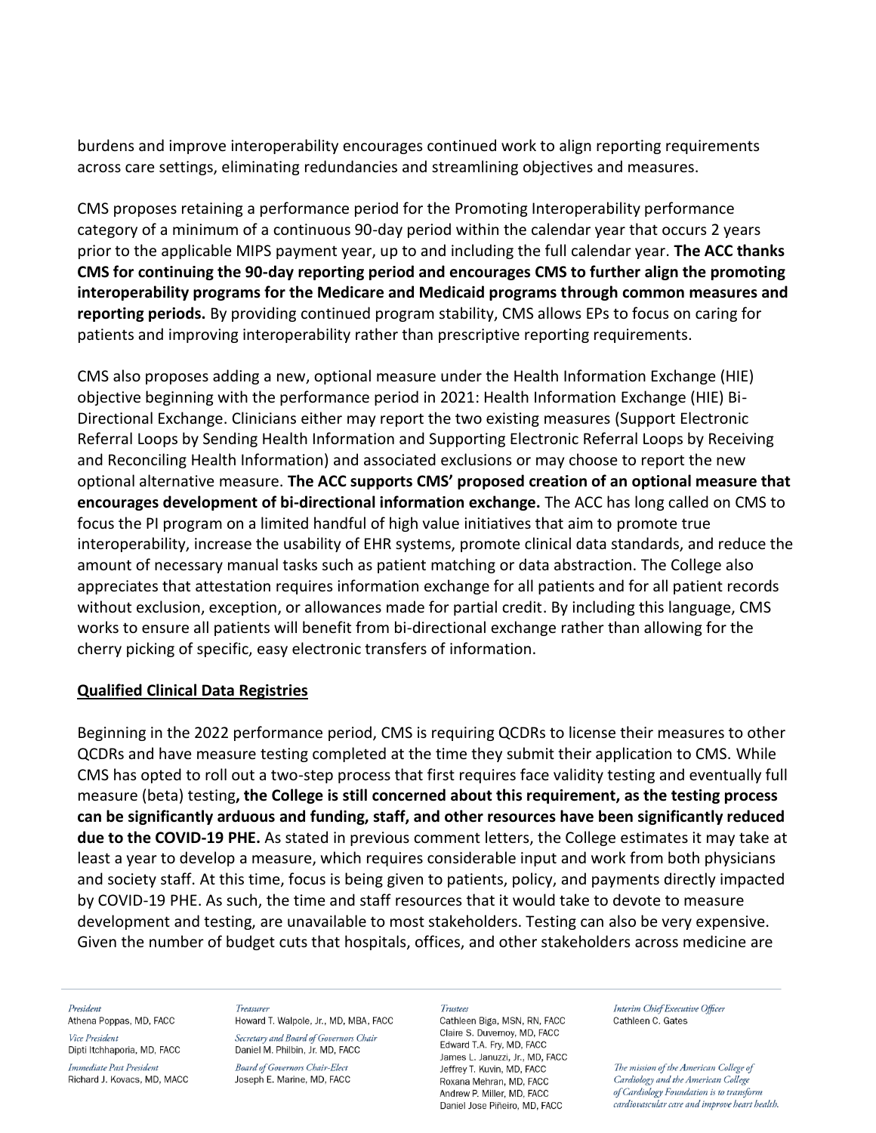burdens and improve interoperability encourages continued work to align reporting requirements across care settings, eliminating redundancies and streamlining objectives and measures.

CMS proposes retaining a performance period for the Promoting Interoperability performance category of a minimum of a continuous 90-day period within the calendar year that occurs 2 years prior to the applicable MIPS payment year, up to and including the full calendar year. **The ACC thanks CMS for continuing the 90-day reporting period and encourages CMS to further align the promoting interoperability programs for the Medicare and Medicaid programs through common measures and reporting periods.** By providing continued program stability, CMS allows EPs to focus on caring for patients and improving interoperability rather than prescriptive reporting requirements.

CMS also proposes adding a new, optional measure under the Health Information Exchange (HIE) objective beginning with the performance period in 2021: Health Information Exchange (HIE) Bi-Directional Exchange. Clinicians either may report the two existing measures (Support Electronic Referral Loops by Sending Health Information and Supporting Electronic Referral Loops by Receiving and Reconciling Health Information) and associated exclusions or may choose to report the new optional alternative measure. **The ACC supports CMS' proposed creation of an optional measure that encourages development of bi-directional information exchange.** The ACC has long called on CMS to focus the PI program on a limited handful of high value initiatives that aim to promote true interoperability, increase the usability of EHR systems, promote clinical data standards, and reduce the amount of necessary manual tasks such as patient matching or data abstraction. The College also appreciates that attestation requires information exchange for all patients and for all patient records without exclusion, exception, or allowances made for partial credit. By including this language, CMS works to ensure all patients will benefit from bi-directional exchange rather than allowing for the cherry picking of specific, easy electronic transfers of information.

## **Qualified Clinical Data Registries**

Beginning in the 2022 performance period, CMS is requiring QCDRs to license their measures to other QCDRs and have measure testing completed at the time they submit their application to CMS. While CMS has opted to roll out a two-step process that first requires face validity testing and eventually full measure (beta) testing**, the College is still concerned about this requirement, as the testing process can be significantly arduous and funding, staff, and other resources have been significantly reduced due to the COVID-19 PHE.** As stated in previous comment letters, the College estimates it may take at least a year to develop a measure, which requires considerable input and work from both physicians and society staff. At this time, focus is being given to patients, policy, and payments directly impacted by COVID-19 PHE. As such, the time and staff resources that it would take to devote to measure development and testing, are unavailable to most stakeholders. Testing can also be very expensive. Given the number of budget cuts that hospitals, offices, and other stakeholders across medicine are

#### President

Athena Poppas, MD, FACC Vice President

Dipti Itchhaporia, MD, FACC

Immediate Past President Richard J. Kovacs, MD, MACC

#### Treasurer

Howard T. Walpole, Jr., MD, MBA, FACC Secretary and Board of Governors Chair Daniel M. Philbin, Jr. MD, FACC

Board of Governors Chair-Elect Joseph E. Marine, MD, FACC

#### **Trustees**

Cathleen Biga, MSN, RN, FACC Claire S. Duvernov. MD. FACC Edward T.A. Fry, MD, FACC James L. Januzzi, Jr., MD, FACC Jeffrey T. Kuvin, MD, FACC Roxana Mehran, MD, FACC Andrew P. Miller, MD. FACC Daniel Jose Piñeiro, MD, FACC

Interim Chief Executive Officer Cathleen C. Gates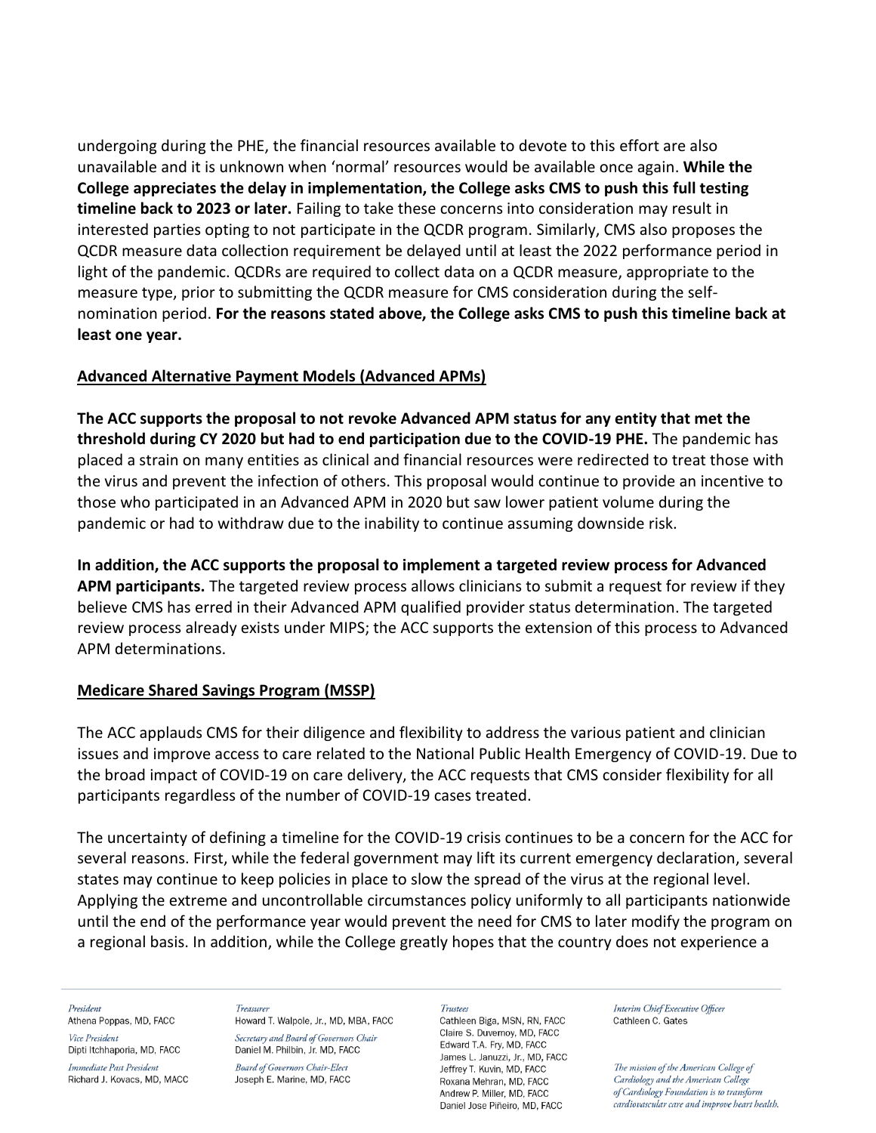undergoing during the PHE, the financial resources available to devote to this effort are also unavailable and it is unknown when 'normal' resources would be available once again. **While the College appreciates the delay in implementation, the College asks CMS to push this full testing timeline back to 2023 or later.** Failing to take these concerns into consideration may result in interested parties opting to not participate in the QCDR program. Similarly, CMS also proposes the QCDR measure data collection requirement be delayed until at least the 2022 performance period in light of the pandemic. QCDRs are required to collect data on a QCDR measure, appropriate to the measure type, prior to submitting the QCDR measure for CMS consideration during the selfnomination period. **For the reasons stated above, the College asks CMS to push this timeline back at least one year.** 

## **Advanced Alternative Payment Models (Advanced APMs)**

**The ACC supports the proposal to not revoke Advanced APM status for any entity that met the threshold during CY 2020 but had to end participation due to the COVID-19 PHE.** The pandemic has placed a strain on many entities as clinical and financial resources were redirected to treat those with the virus and prevent the infection of others. This proposal would continue to provide an incentive to those who participated in an Advanced APM in 2020 but saw lower patient volume during the pandemic or had to withdraw due to the inability to continue assuming downside risk.

**In addition, the ACC supports the proposal to implement a targeted review process for Advanced APM participants.** The targeted review process allows clinicians to submit a request for review if they believe CMS has erred in their Advanced APM qualified provider status determination. The targeted review process already exists under MIPS; the ACC supports the extension of this process to Advanced APM determinations.

## **Medicare Shared Savings Program (MSSP)**

The ACC applauds CMS for their diligence and flexibility to address the various patient and clinician issues and improve access to care related to the National Public Health Emergency of COVID-19. Due to the broad impact of COVID-19 on care delivery, the ACC requests that CMS consider flexibility for all participants regardless of the number of COVID-19 cases treated.

The uncertainty of defining a timeline for the COVID-19 crisis continues to be a concern for the ACC for several reasons. First, while the federal government may lift its current emergency declaration, several states may continue to keep policies in place to slow the spread of the virus at the regional level. Applying the extreme and uncontrollable circumstances policy uniformly to all participants nationwide until the end of the performance year would prevent the need for CMS to later modify the program on a regional basis. In addition, while the College greatly hopes that the country does not experience a

### President

Athena Poppas, MD, FACC Vice President

Dipti Itchhaporia, MD, FACC Immediate Past President

Richard J. Kovacs, MD, MACC

Treasurer Howard T. Walpole, Jr., MD, MBA, FACC Secretary and Board of Governors Chair Daniel M. Philbin, Jr. MD, FACC

**Board of Governors Chair-Elect** Joseph E. Marine, MD, FACC

#### Trustees

Cathleen Biga, MSN, RN, FACC Claire S. Duvernov, MD. FACC Edward T.A. Fry, MD, FACC James L. Januzzi, Jr., MD, FACC Jeffrey T. Kuvin, MD, FACC Roxana Mehran, MD, FACC Andrew P. Miller, MD. FACC Daniel Jose Piñeiro, MD, FACC

Interim Chief Executive Officer Cathleen C. Gates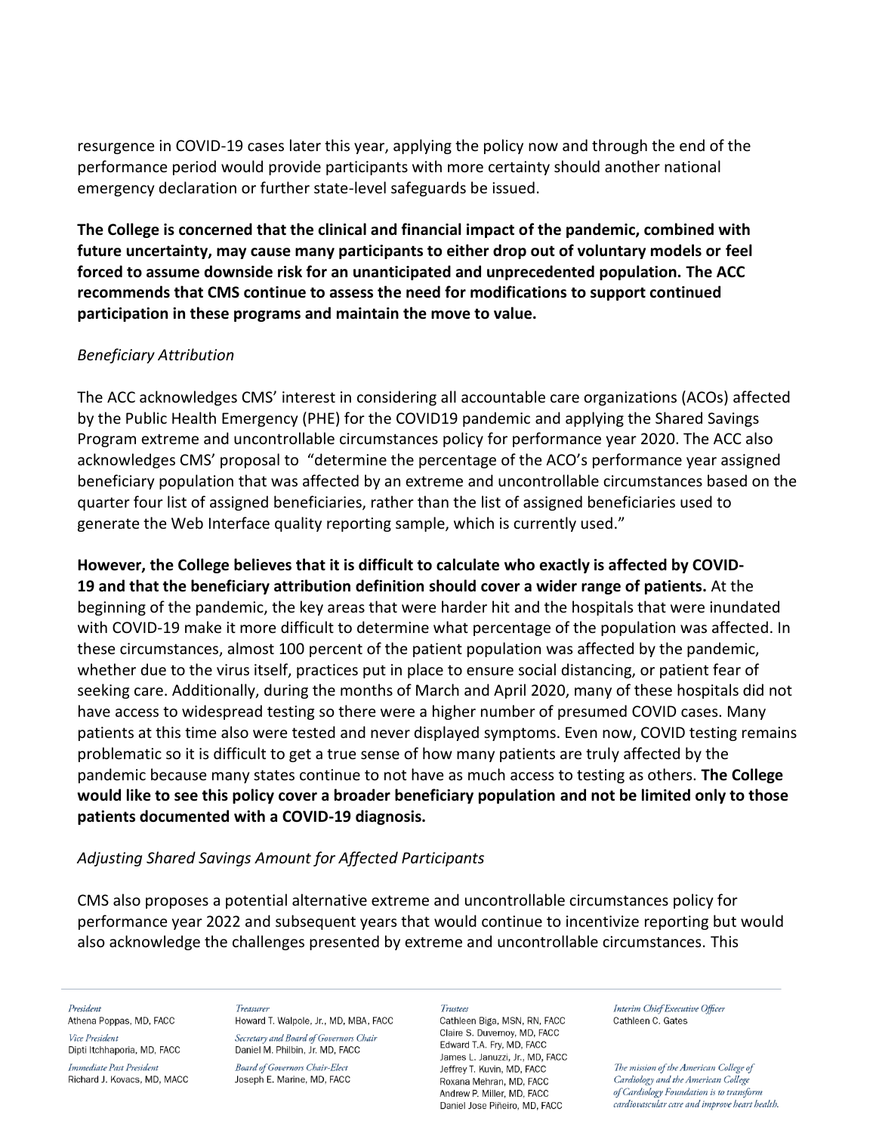resurgence in COVID-19 cases later this year, applying the policy now and through the end of the performance period would provide participants with more certainty should another national emergency declaration or further state-level safeguards be issued.

**The College is concerned that the clinical and financial impact of the pandemic, combined with future uncertainty, may cause many participants to either drop out of voluntary models or feel forced to assume downside risk for an unanticipated and unprecedented population. The ACC recommends that CMS continue to assess the need for modifications to support continued participation in these programs and maintain the move to value.**

## *Beneficiary Attribution*

The ACC acknowledges CMS' interest in considering all accountable care organizations (ACOs) affected by the Public Health Emergency (PHE) for the COVID19 pandemic and applying the Shared Savings Program extreme and uncontrollable circumstances policy for performance year 2020. The ACC also acknowledges CMS' proposal to "determine the percentage of the ACO's performance year assigned beneficiary population that was affected by an extreme and uncontrollable circumstances based on the quarter four list of assigned beneficiaries, rather than the list of assigned beneficiaries used to generate the Web Interface quality reporting sample, which is currently used."

**However, the College believes that it is difficult to calculate who exactly is affected by COVID-19 and that the beneficiary attribution definition should cover a wider range of patients.** At the beginning of the pandemic, the key areas that were harder hit and the hospitals that were inundated with COVID-19 make it more difficult to determine what percentage of the population was affected. In these circumstances, almost 100 percent of the patient population was affected by the pandemic, whether due to the virus itself, practices put in place to ensure social distancing, or patient fear of seeking care. Additionally, during the months of March and April 2020, many of these hospitals did not have access to widespread testing so there were a higher number of presumed COVID cases. Many patients at this time also were tested and never displayed symptoms. Even now, COVID testing remains problematic so it is difficult to get a true sense of how many patients are truly affected by the pandemic because many states continue to not have as much access to testing as others. **The College would like to see this policy cover a broader beneficiary population and not be limited only to those patients documented with a COVID-19 diagnosis.**

## *Adjusting Shared Savings Amount for Affected Participants*

CMS also proposes a potential alternative extreme and uncontrollable circumstances policy for performance year 2022 and subsequent years that would continue to incentivize reporting but would also acknowledge the challenges presented by extreme and uncontrollable circumstances. This

### President

Athena Poppas, MD, FACC Vice President

Dipti Itchhaporia, MD, FACC

Immediate Past President Richard J. Kovacs, MD, MACC

Treasurer Howard T. Walpole, Jr., MD, MBA, FACC Secretary and Board of Governors Chair Daniel M. Philbin, Jr. MD, FACC

**Board of Governors Chair-Elect** Joseph E. Marine, MD, FACC

### **Trustees**

Cathleen Biga, MSN, RN, FACC Claire S. Duvernov, MD. FACC Edward T.A. Fry, MD, FACC James L. Januzzi, Jr., MD, FACC Jeffrey T. Kuvin, MD, FACC Roxana Mehran, MD, FACC Andrew P. Miller, MD. FACC Daniel Jose Piñeiro, MD, FACC

Interim Chief Executive Officer Cathleen C. Gates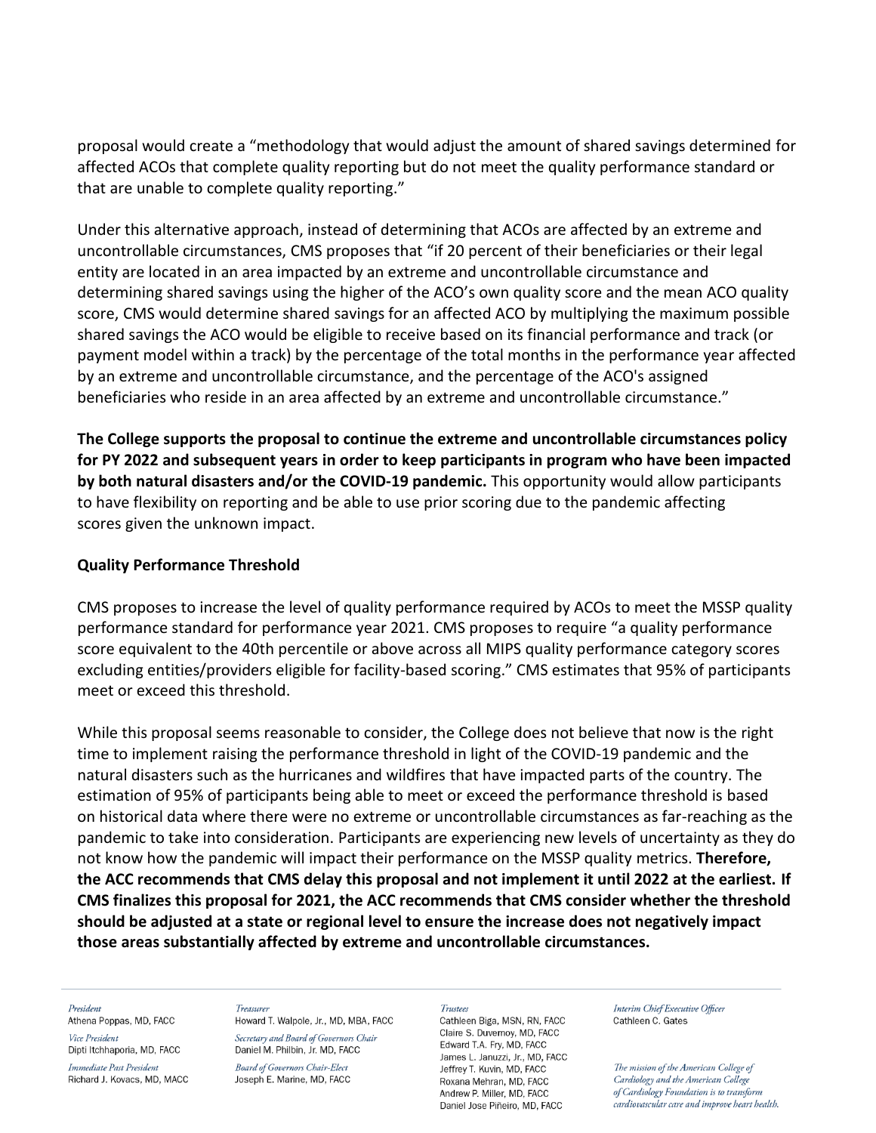proposal would create a "methodology that would adjust the amount of shared savings determined for affected ACOs that complete quality reporting but do not meet the quality performance standard or that are unable to complete quality reporting."

Under this alternative approach, instead of determining that ACOs are affected by an extreme and uncontrollable circumstances, CMS proposes that "if 20 percent of their beneficiaries or their legal entity are located in an area impacted by an extreme and uncontrollable circumstance and determining shared savings using the higher of the ACO's own quality score and the mean ACO quality score, CMS would determine shared savings for an affected ACO by multiplying the maximum possible shared savings the ACO would be eligible to receive based on its financial performance and track (or payment model within a track) by the percentage of the total months in the performance year affected by an extreme and uncontrollable circumstance, and the percentage of the ACO's assigned beneficiaries who reside in an area affected by an extreme and uncontrollable circumstance."

**The College supports the proposal to continue the extreme and uncontrollable circumstances policy for PY 2022 and subsequent years in order to keep participants in program who have been impacted by both natural disasters and/or the COVID-19 pandemic.** This opportunity would allow participants to have flexibility on reporting and be able to use prior scoring due to the pandemic affecting scores given the unknown impact.

## **Quality Performance Threshold**

CMS proposes to increase the level of quality performance required by ACOs to meet the MSSP quality performance standard for performance year 2021. CMS proposes to require "a quality performance score equivalent to the 40th percentile or above across all MIPS quality performance category scores excluding entities/providers eligible for facility-based scoring." CMS estimates that 95% of participants meet or exceed this threshold.

While this proposal seems reasonable to consider, the College does not believe that now is the right time to implement raising the performance threshold in light of the COVID-19 pandemic and the natural disasters such as the hurricanes and wildfires that have impacted parts of the country. The estimation of 95% of participants being able to meet or exceed the performance threshold is based on historical data where there were no extreme or uncontrollable circumstances as far-reaching as the pandemic to take into consideration. Participants are experiencing new levels of uncertainty as they do not know how the pandemic will impact their performance on the MSSP quality metrics. **Therefore, the ACC recommends that CMS delay this proposal and not implement it until 2022 at the earliest. If CMS finalizes this proposal for 2021, the ACC recommends that CMS consider whether the threshold should be adjusted at a state or regional level to ensure the increase does not negatively impact those areas substantially affected by extreme and uncontrollable circumstances.**

### President

Athena Poppas, MD, FACC Vice President

Dipti Itchhaporia, MD, FACC

Immediate Past President Richard J. Kovacs, MD, MACC

### Treasurer

Howard T. Walpole, Jr., MD, MBA, FACC Secretary and Board of Governors Chair Daniel M. Philbin, Jr. MD, FACC

**Board of Governors Chair-Elect** Joseph E. Marine, MD, FACC

#### **Trustees**

Cathleen Biga, MSN, RN, FACC Claire S. Duvernov. MD. FACC Edward T.A. Fry, MD, FACC James L. Januzzi, Jr., MD, FACC Jeffrey T. Kuvin, MD, FACC Roxana Mehran, MD, FACC Andrew P. Miller, MD. FACC Daniel Jose Piñeiro, MD, FACC

Interim Chief Executive Officer Cathleen C. Gates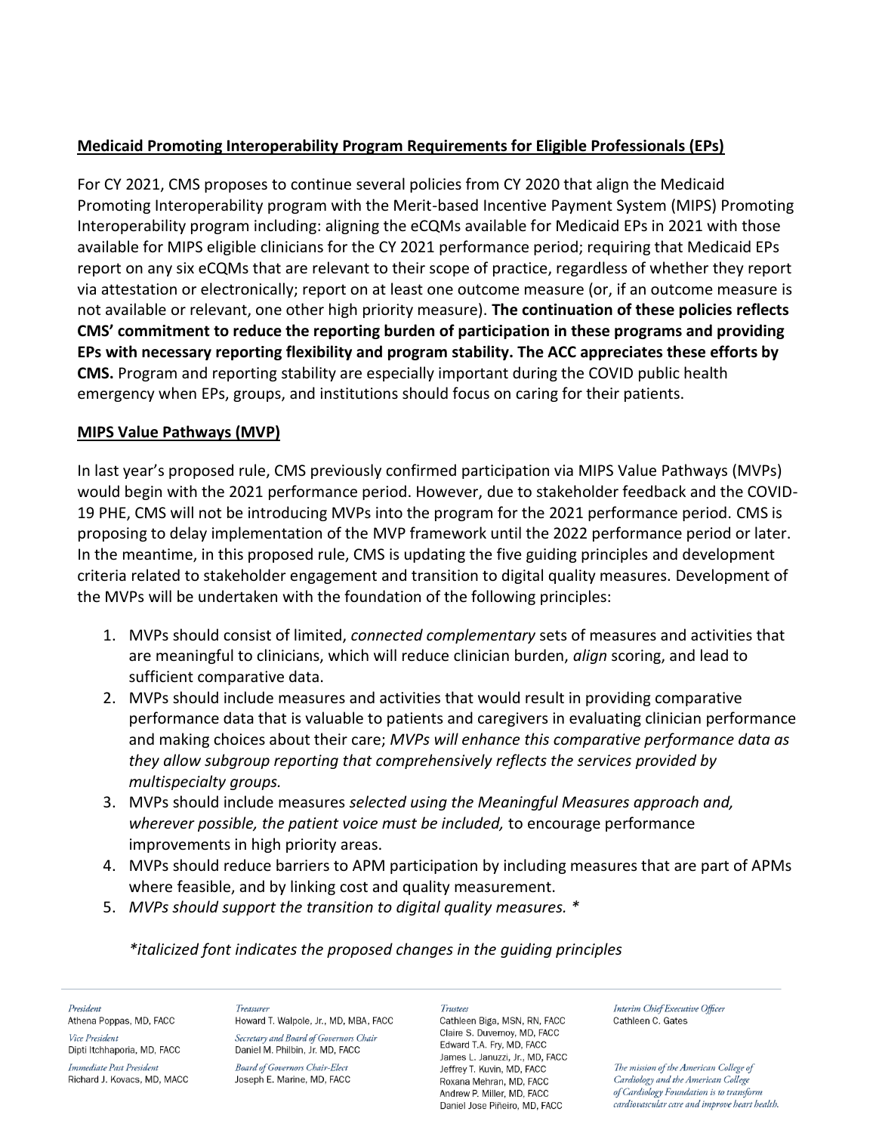## **Medicaid Promoting Interoperability Program Requirements for Eligible Professionals (EPs)**

For CY 2021, CMS proposes to continue several policies from CY 2020 that align the Medicaid Promoting Interoperability program with the Merit-based Incentive Payment System (MIPS) Promoting Interoperability program including: aligning the eCQMs available for Medicaid EPs in 2021 with those available for MIPS eligible clinicians for the CY 2021 performance period; requiring that Medicaid EPs report on any six eCQMs that are relevant to their scope of practice, regardless of whether they report via attestation or electronically; report on at least one outcome measure (or, if an outcome measure is not available or relevant, one other high priority measure). **The continuation of these policies reflects CMS' commitment to reduce the reporting burden of participation in these programs and providing EPs with necessary reporting flexibility and program stability. The ACC appreciates these efforts by CMS.** Program and reporting stability are especially important during the COVID public health emergency when EPs, groups, and institutions should focus on caring for their patients.

## **MIPS Value Pathways (MVP)**

In last year's proposed rule, CMS previously confirmed participation via MIPS Value Pathways (MVPs) would begin with the 2021 performance period. However, due to stakeholder feedback and the COVID-19 PHE, CMS will not be introducing MVPs into the program for the 2021 performance period. CMS is proposing to delay implementation of the MVP framework until the 2022 performance period or later. In the meantime, in this proposed rule, CMS is updating the five guiding principles and development criteria related to stakeholder engagement and transition to digital quality measures. Development of the MVPs will be undertaken with the foundation of the following principles:

- 1. MVPs should consist of limited, *connected complementary* sets of measures and activities that are meaningful to clinicians, which will reduce clinician burden, *align* scoring, and lead to sufficient comparative data.
- 2. MVPs should include measures and activities that would result in providing comparative performance data that is valuable to patients and caregivers in evaluating clinician performance and making choices about their care; *MVPs will enhance this comparative performance data as they allow subgroup reporting that comprehensively reflects the services provided by multispecialty groups.*
- 3. MVPs should include measures *selected using the Meaningful Measures approach and, wherever possible, the patient voice must be included,* to encourage performance improvements in high priority areas.
- 4. MVPs should reduce barriers to APM participation by including measures that are part of APMs where feasible, and by linking cost and quality measurement.
- 5. *MVPs should support the transition to digital quality measures. \**

## *\*italicized font indicates the proposed changes in the guiding principles*

President Athena Poppas, MD, FACC Vice President Dipti Itchhaporia, MD, FACC

Immediate Past President Richard J. Kovacs, MD, MACC

**Treasure** Howard T. Walpole, Jr., MD, MBA, FACC Secretary and Board of Governors Chair Daniel M. Philbin, Jr. MD, FACC

**Board of Governors Chair-Elect** Joseph E. Marine, MD, FACC **Trustees** 

Cathleen Biga, MSN, RN, FACC Claire S. Duvernov, MD. FACC Edward T.A. Fry, MD, FACC James L. Januzzi, Jr., MD, FACC Jeffrey T. Kuvin, MD, FACC Roxana Mehran, MD, FACC Andrew P. Miller, MD. FACC Daniel Jose Piñeiro, MD, FACC

Interim Chief Executive Officer Cathleen C. Gates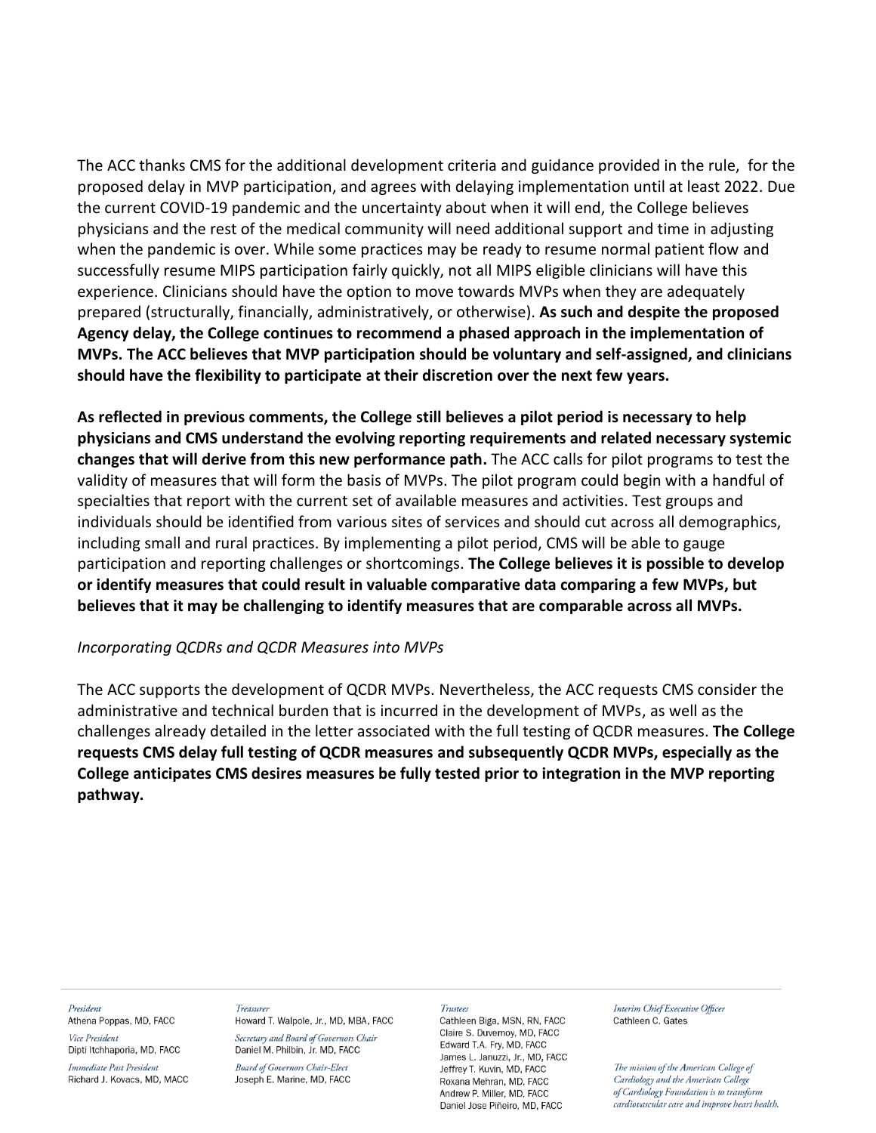The ACC thanks CMS for the additional development criteria and guidance provided in the rule, for the proposed delay in MVP participation, and agrees with delaying implementation until at least 2022. Due the current COVID-19 pandemic and the uncertainty about when it will end, the College believes physicians and the rest of the medical community will need additional support and time in adjusting when the pandemic is over. While some practices may be ready to resume normal patient flow and successfully resume MIPS participation fairly quickly, not all MIPS eligible clinicians will have this experience. Clinicians should have the option to move towards MVPs when they are adequately prepared (structurally, financially, administratively, or otherwise). **As such and despite the proposed Agency delay, the College continues to recommend a phased approach in the implementation of MVPs. The ACC believes that MVP participation should be voluntary and self-assigned, and clinicians should have the flexibility to participate at their discretion over the next few years.** 

**As reflected in previous comments, the College still believes a pilot period is necessary to help physicians and CMS understand the evolving reporting requirements and related necessary systemic changes that will derive from this new performance path.** The ACC calls for pilot programs to test the validity of measures that will form the basis of MVPs. The pilot program could begin with a handful of specialties that report with the current set of available measures and activities. Test groups and individuals should be identified from various sites of services and should cut across all demographics, including small and rural practices. By implementing a pilot period, CMS will be able to gauge participation and reporting challenges or shortcomings. **The College believes it is possible to develop or identify measures that could result in valuable comparative data comparing a few MVPs, but believes that it may be challenging to identify measures that are comparable across all MVPs.**

### *Incorporating QCDRs and QCDR Measures into MVPs*

The ACC supports the development of QCDR MVPs. Nevertheless, the ACC requests CMS consider the administrative and technical burden that is incurred in the development of MVPs, as well as the challenges already detailed in the letter associated with the full testing of QCDR measures. **The College requests CMS delay full testing of QCDR measures and subsequently QCDR MVPs, especially as the College anticipates CMS desires measures be fully tested prior to integration in the MVP reporting pathway.** 

#### President Athena Poppas, MD, FACC

Vice President Dipti Itchhaporia, MD, FACC

Immediate Past President Richard J. Kovacs, MD, MACC

### **Treasure** Howard T. Walpole, Jr., MD, MBA, FACC

Secretary and Board of Governors Chair Daniel M. Philbin, Jr. MD, FACC **Board of Governors Chair-Elect** 

# Joseph E. Marine, MD, FACC

### Trustees

Cathleen Biga, MSN, RN, FACC Claire S. Duvernov. MD. FACC Edward T.A. Fry, MD, FACC James L. Januzzi, Jr., MD, FACC Jeffrey T. Kuvin, MD, FACC Roxana Mehran, MD, FACC Andrew P. Miller, MD. FACC Daniel Jose Piñeiro, MD, FACC

Interim Chief Executive Officer Cathleen C. Gates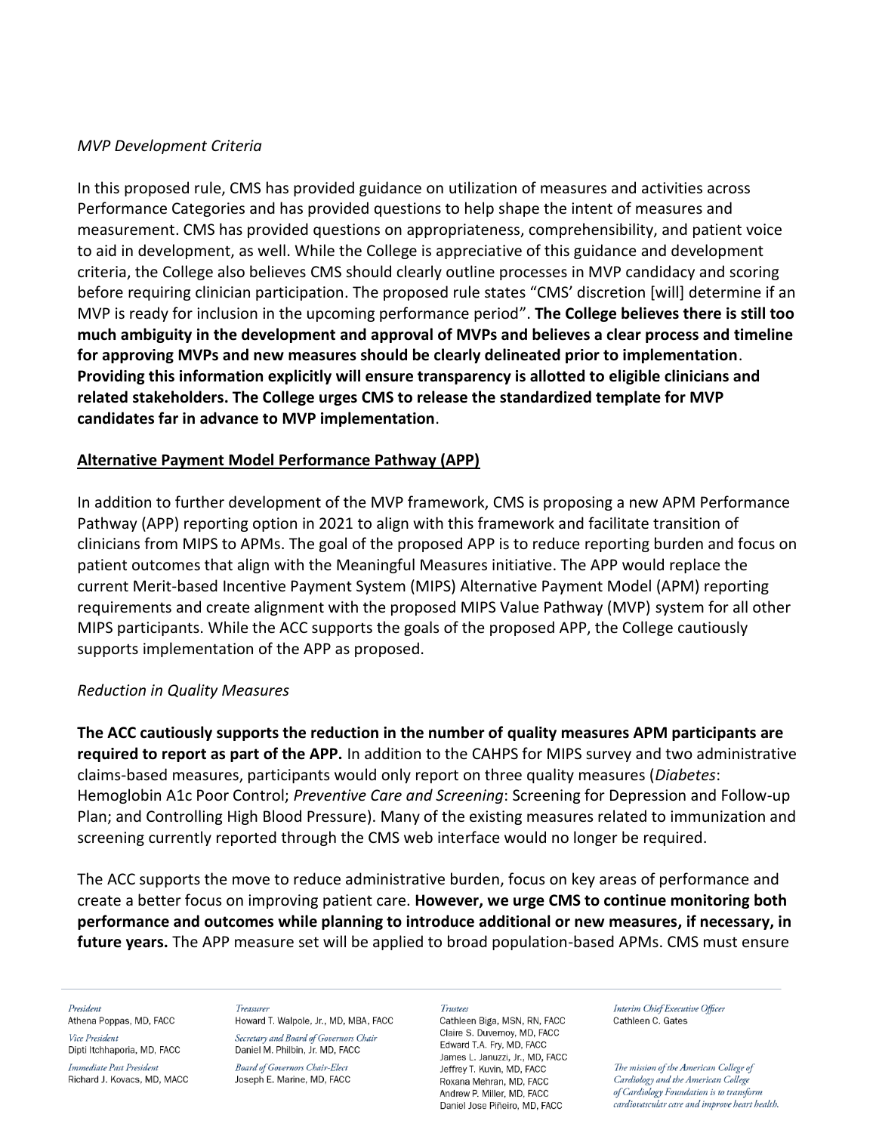## *MVP Development Criteria*

In this proposed rule, CMS has provided guidance on utilization of measures and activities across Performance Categories and has provided questions to help shape the intent of measures and measurement. CMS has provided questions on appropriateness, comprehensibility, and patient voice to aid in development, as well. While the College is appreciative of this guidance and development criteria, the College also believes CMS should clearly outline processes in MVP candidacy and scoring before requiring clinician participation. The proposed rule states "CMS' discretion [will] determine if an MVP is ready for inclusion in the upcoming performance period". **The College believes there is still too much ambiguity in the development and approval of MVPs and believes a clear process and timeline for approving MVPs and new measures should be clearly delineated prior to implementation**. **Providing this information explicitly will ensure transparency is allotted to eligible clinicians and related stakeholders. The College urges CMS to release the standardized template for MVP candidates far in advance to MVP implementation**.

## **Alternative Payment Model Performance Pathway (APP)**

In addition to further development of the MVP framework, CMS is proposing a new APM Performance Pathway (APP) reporting option in 2021 to align with this framework and facilitate transition of clinicians from MIPS to APMs. The goal of the proposed APP is to reduce reporting burden and focus on patient outcomes that align with the Meaningful Measures initiative. The APP would replace the current Merit-based Incentive Payment System (MIPS) Alternative Payment Model (APM) reporting requirements and create alignment with the proposed MIPS Value Pathway (MVP) system for all other MIPS participants. While the ACC supports the goals of the proposed APP, the College cautiously supports implementation of the APP as proposed.

## *Reduction in Quality Measures*

**The ACC cautiously supports the reduction in the number of quality measures APM participants are required to report as part of the APP.** In addition to the CAHPS for MIPS survey and two administrative claims-based measures, participants would only report on three quality measures (*Diabetes*: Hemoglobin A1c Poor Control; *Preventive Care and Screening*: Screening for Depression and Follow-up Plan; and Controlling High Blood Pressure). Many of the existing measures related to immunization and screening currently reported through the CMS web interface would no longer be required.

The ACC supports the move to reduce administrative burden, focus on key areas of performance and create a better focus on improving patient care. **However, we urge CMS to continue monitoring both performance and outcomes while planning to introduce additional or new measures, if necessary, in future years.** The APP measure set will be applied to broad population-based APMs. CMS must ensure

#### President

Athena Poppas, MD, FACC Vice President

Dipti Itchhaporia, MD, FACC

Immediate Past President Richard J. Kovacs, MD, MACC

#### Treasurer Howard T. Walpole, Jr., MD, MBA, FACC Secretary and Board of Governors Chair

Daniel M. Philbin, Jr. MD, FACC **Board of Governors Chair-Elect** Joseph E. Marine, MD, FACC

#### Trustees

Cathleen Biga, MSN, RN, FACC Claire S. Duvernov. MD. FACC Edward T.A. Fry, MD, FACC James L. Januzzi, Jr., MD, FACC Jeffrey T. Kuvin, MD, FACC Roxana Mehran, MD, FACC Andrew P. Miller, MD. FACC Daniel Jose Piñeiro, MD, FACC

Interim Chief Executive Officer Cathleen C. Gates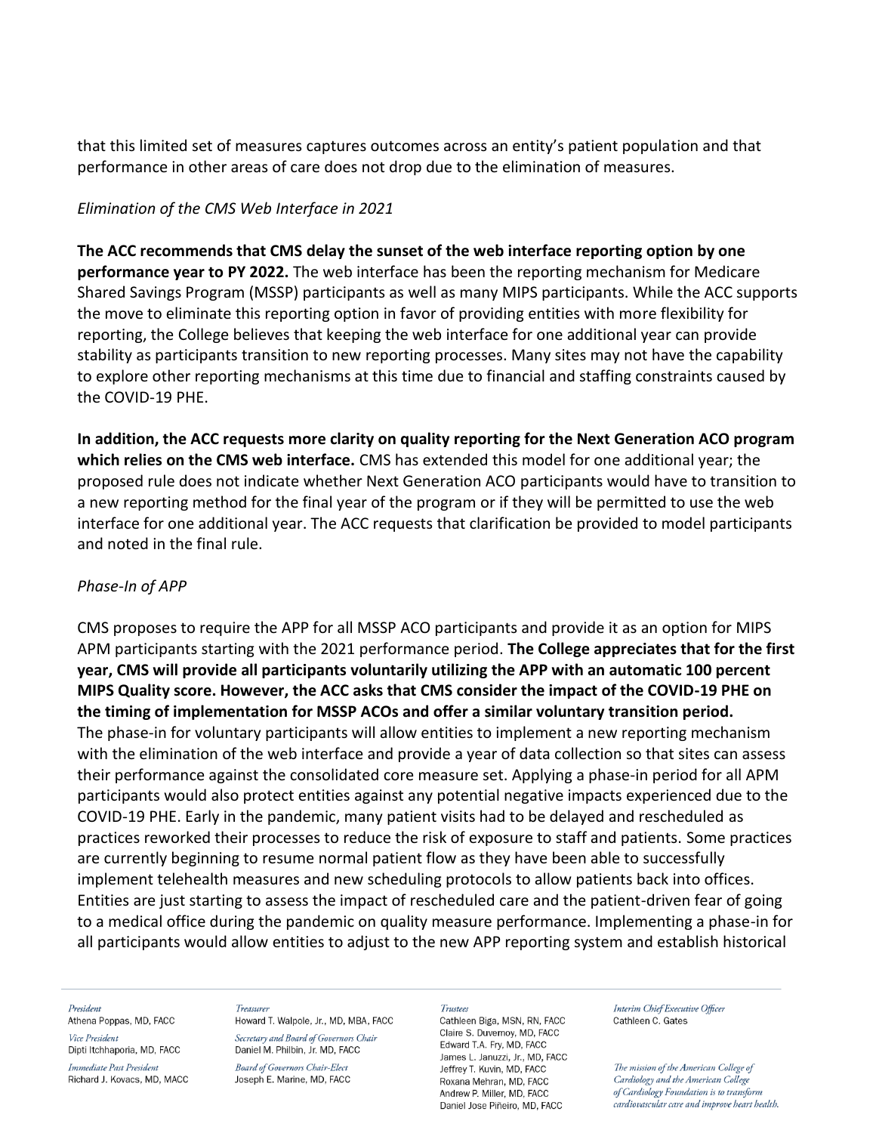that this limited set of measures captures outcomes across an entity's patient population and that performance in other areas of care does not drop due to the elimination of measures.

## *Elimination of the CMS Web Interface in 2021*

**The ACC recommends that CMS delay the sunset of the web interface reporting option by one performance year to PY 2022.** The web interface has been the reporting mechanism for Medicare Shared Savings Program (MSSP) participants as well as many MIPS participants. While the ACC supports the move to eliminate this reporting option in favor of providing entities with more flexibility for reporting, the College believes that keeping the web interface for one additional year can provide stability as participants transition to new reporting processes. Many sites may not have the capability to explore other reporting mechanisms at this time due to financial and staffing constraints caused by the COVID-19 PHE.

**In addition, the ACC requests more clarity on quality reporting for the Next Generation ACO program which relies on the CMS web interface.** CMS has extended this model for one additional year; the proposed rule does not indicate whether Next Generation ACO participants would have to transition to a new reporting method for the final year of the program or if they will be permitted to use the web interface for one additional year. The ACC requests that clarification be provided to model participants and noted in the final rule.

## *Phase-In of APP*

CMS proposes to require the APP for all MSSP ACO participants and provide it as an option for MIPS APM participants starting with the 2021 performance period. **The College appreciates that for the first year, CMS will provide all participants voluntarily utilizing the APP with an automatic 100 percent MIPS Quality score. However, the ACC asks that CMS consider the impact of the COVID-19 PHE on the timing of implementation for MSSP ACOs and offer a similar voluntary transition period.** The phase-in for voluntary participants will allow entities to implement a new reporting mechanism with the elimination of the web interface and provide a year of data collection so that sites can assess their performance against the consolidated core measure set. Applying a phase-in period for all APM participants would also protect entities against any potential negative impacts experienced due to the COVID-19 PHE. Early in the pandemic, many patient visits had to be delayed and rescheduled as practices reworked their processes to reduce the risk of exposure to staff and patients. Some practices are currently beginning to resume normal patient flow as they have been able to successfully implement telehealth measures and new scheduling protocols to allow patients back into offices. Entities are just starting to assess the impact of rescheduled care and the patient-driven fear of going to a medical office during the pandemic on quality measure performance. Implementing a phase-in for all participants would allow entities to adjust to the new APP reporting system and establish historical

### President

Athena Poppas, MD, FACC Vice President

Dipti Itchhaporia, MD, FACC

Immediate Past President Richard J. Kovacs, MD, MACC

### **Treasure**

Howard T. Walpole, Jr., MD, MBA, FACC Secretary and Board of Governors Chair Daniel M. Philbin, Jr. MD, FACC

**Board of Governors Chair-Elect** Joseph E. Marine, MD, FACC

#### **Trustees**

Cathleen Biga, MSN, RN, FACC Claire S. Duvernov. MD. FACC Edward T.A. Fry, MD, FACC James L. Januzzi, Jr., MD, FACC Jeffrey T. Kuvin, MD, FACC Roxana Mehran, MD, FACC Andrew P. Miller, MD. FACC Daniel Jose Piñeiro, MD, FACC

Interim Chief Executive Officer Cathleen C. Gates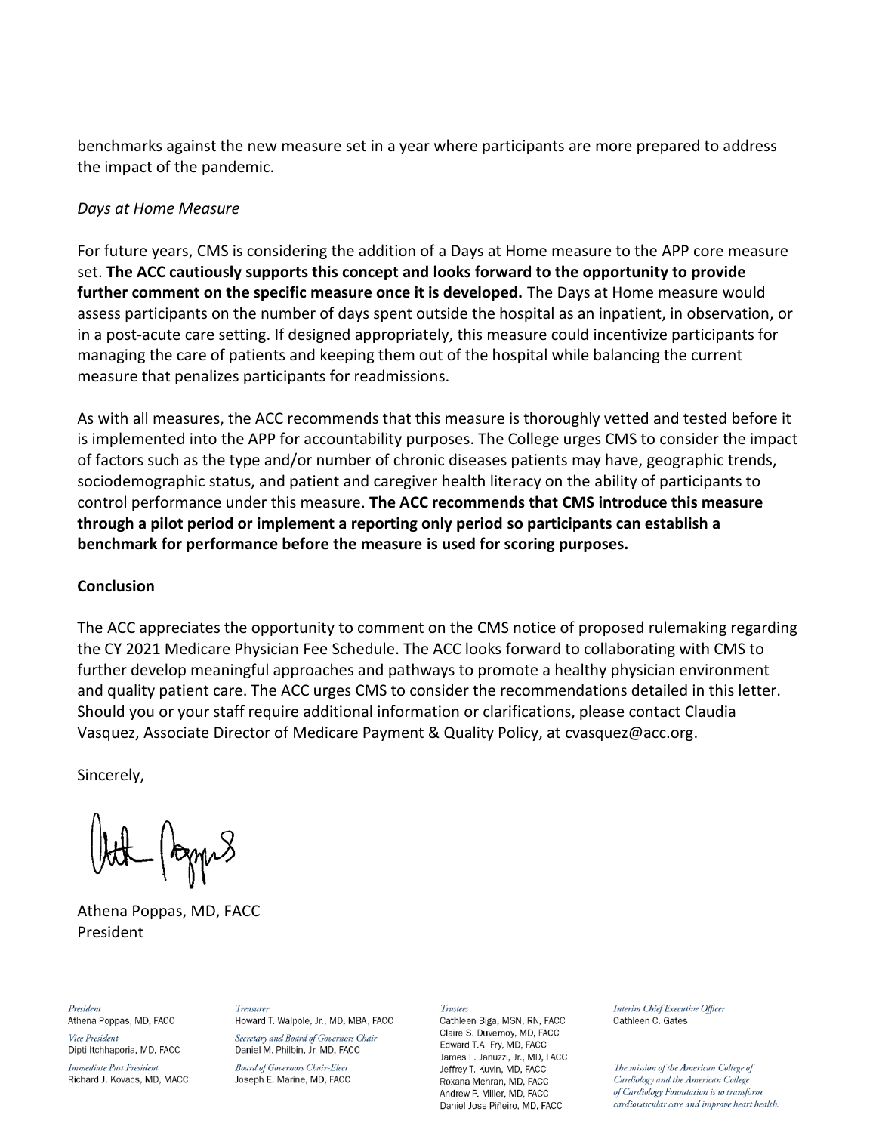benchmarks against the new measure set in a year where participants are more prepared to address the impact of the pandemic.

## *Days at Home Measure*

For future years, CMS is considering the addition of a Days at Home measure to the APP core measure set. **The ACC cautiously supports this concept and looks forward to the opportunity to provide further comment on the specific measure once it is developed.** The Days at Home measure would assess participants on the number of days spent outside the hospital as an inpatient, in observation, or in a post-acute care setting. If designed appropriately, this measure could incentivize participants for managing the care of patients and keeping them out of the hospital while balancing the current measure that penalizes participants for readmissions.

As with all measures, the ACC recommends that this measure is thoroughly vetted and tested before it is implemented into the APP for accountability purposes. The College urges CMS to consider the impact of factors such as the type and/or number of chronic diseases patients may have, geographic trends, sociodemographic status, and patient and caregiver health literacy on the ability of participants to control performance under this measure. **The ACC recommends that CMS introduce this measure through a pilot period or implement a reporting only period so participants can establish a benchmark for performance before the measure is used for scoring purposes.**

## **Conclusion**

The ACC appreciates the opportunity to comment on the CMS notice of proposed rulemaking regarding the CY 2021 Medicare Physician Fee Schedule. The ACC looks forward to collaborating with CMS to further develop meaningful approaches and pathways to promote a healthy physician environment and quality patient care. The ACC urges CMS to consider the recommendations detailed in this letter. Should you or your staff require additional information or clarifications, please contact Claudia Vasquez, Associate Director of Medicare Payment & Quality Policy, at cvasquez@acc.org.

Sincerely,

Athena Poppas, MD, FACC President

President Athena Poppas, MD, FACC Vice President

Dipti Itchhaporia, MD, FACC

Immediate Past President Richard J. Kovacs, MD, MACC

Treasurer Howard T. Walpole, Jr., MD, MBA, FACC Secretary and Board of Governors Chair

Daniel M. Philbin, Jr. MD, FACC **Board of Governors Chair-Elect** Joseph E. Marine, MD, FACC

### Trustees

Cathleen Biga, MSN, RN, FACC Claire S. Duvernov. MD. FACC Edward T.A. Fry, MD, FACC James L. Januzzi, Jr., MD, FACC Jeffrey T. Kuvin, MD, FACC Roxana Mehran, MD, FACC Andrew P. Miller, MD. FACC Daniel Jose Piñeiro, MD, FACC

Interim Chief Executive Officer Cathleen C. Gates